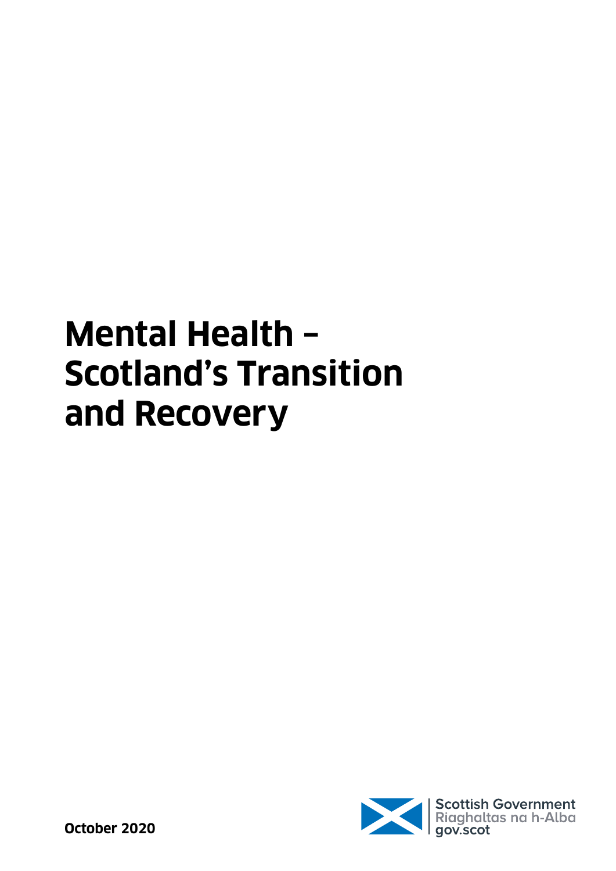# **Mental Health – Scotland's Transition and Recovery**

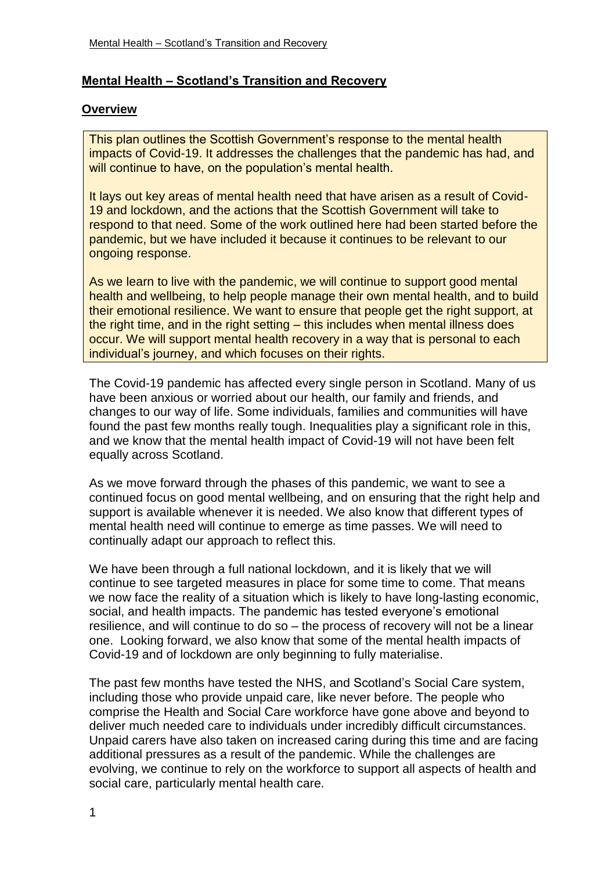# **Mental Health – Scotland's Transition and Recovery**

#### **Overview**

This plan outlines the Scottish Government's response to the mental health impacts of Covid-19. It addresses the challenges that the pandemic has had, and will continue to have, on the population's mental health.

It lays out key areas of mental health need that have arisen as a result of Covid-19 and lockdown, and the actions that the Scottish Government will take to respond to that need. Some of the work outlined here had been started before the pandemic, but we have included it because it continues to be relevant to our ongoing response.

As we learn to live with the pandemic, we will continue to support good mental health and wellbeing, to help people manage their own mental health, and to build their emotional resilience. We want to ensure that people get the right support, at the right time, and in the right setting – this includes when mental illness does occur. We will support mental health recovery in a way that is personal to each individual's journey, and which focuses on their rights.

The Covid-19 pandemic has affected every single person in Scotland. Many of us have been anxious or worried about our health, our family and friends, and changes to our way of life. Some individuals, families and communities will have found the past few months really tough. Inequalities play a significant role in this, and we know that the mental health impact of Covid-19 will not have been felt equally across Scotland.

As we move forward through the phases of this pandemic, we want to see a continued focus on good mental wellbeing, and on ensuring that the right help and support is available whenever it is needed. We also know that different types of mental health need will continue to emerge as time passes. We will need to continually adapt our approach to reflect this.

We have been through a full national lockdown, and it is likely that we will continue to see targeted measures in place for some time to come. That means we now face the reality of a situation which is likely to have long-lasting economic, social, and health impacts. The pandemic has tested everyone's emotional resilience, and will continue to do so – the process of recovery will not be a linear one. Looking forward, we also know that some of the mental health impacts of Covid-19 and of lockdown are only beginning to fully materialise.

The past few months have tested the NHS, and Scotland's Social Care system, including those who provide unpaid care, like never before. The people who comprise the Health and Social Care workforce have gone above and beyond to deliver much needed care to individuals under incredibly difficult circumstances. Unpaid carers have also taken on increased caring during this time and are facing additional pressures as a result of the pandemic. While the challenges are evolving, we continue to rely on the workforce to support all aspects of health and social care, particularly mental health care.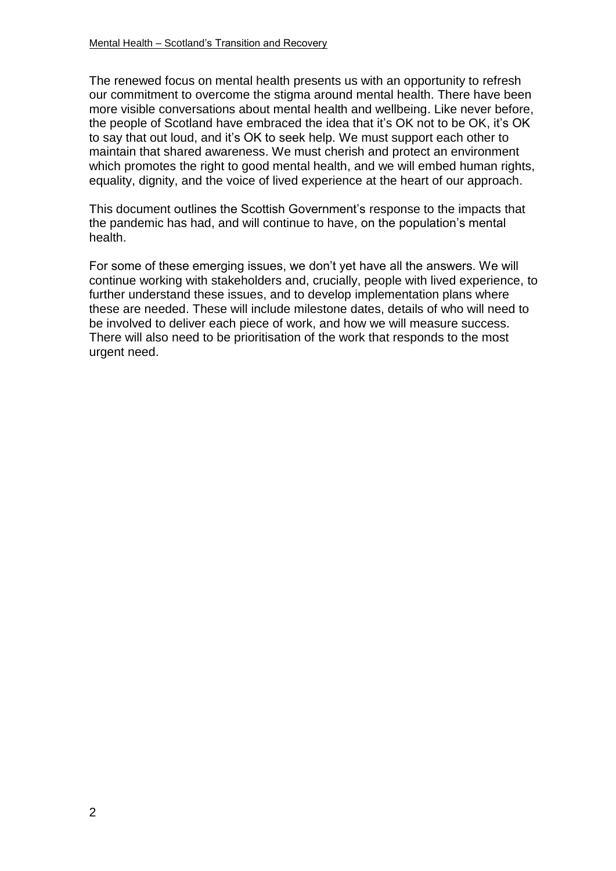The renewed focus on mental health presents us with an opportunity to refresh our commitment to overcome the stigma around mental health. There have been more visible conversations about mental health and wellbeing. Like never before, the people of Scotland have embraced the idea that it's OK not to be OK, it's OK to say that out loud, and it's OK to seek help. We must support each other to maintain that shared awareness. We must cherish and protect an environment which promotes the right to good mental health, and we will embed human rights, equality, dignity, and the voice of lived experience at the heart of our approach.

This document outlines the Scottish Government's response to the impacts that the pandemic has had, and will continue to have, on the population's mental health.

For some of these emerging issues, we don't yet have all the answers. We will continue working with stakeholders and, crucially, people with lived experience, to further understand these issues, and to develop implementation plans where these are needed. These will include milestone dates, details of who will need to be involved to deliver each piece of work, and how we will measure success. There will also need to be prioritisation of the work that responds to the most urgent need.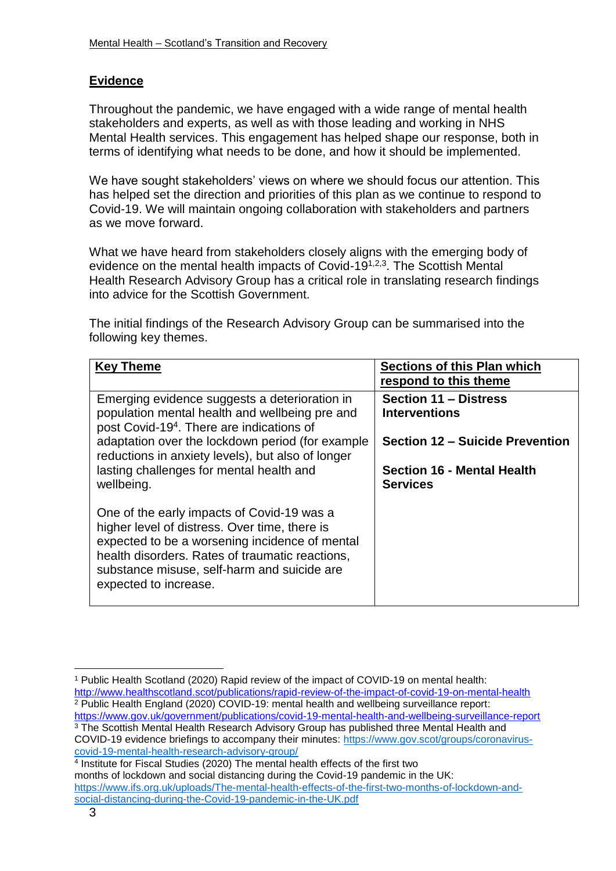# **Evidence**

Throughout the pandemic, we have engaged with a wide range of mental health stakeholders and experts, as well as with those leading and working in NHS Mental Health services. This engagement has helped shape our response, both in terms of identifying what needs to be done, and how it should be implemented.

We have sought stakeholders' views on where we should focus our attention. This has helped set the direction and priorities of this plan as we continue to respond to Covid-19. We will maintain ongoing collaboration with stakeholders and partners as we move forward.

What we have heard from stakeholders closely aligns with the emerging body of evidence on the mental health impacts of Covid-19<sup>1,2,3</sup>. The Scottish Mental Health Research Advisory Group has a critical role in translating research findings into advice for the Scottish Government.

The initial findings of the Research Advisory Group can be summarised into the following key themes.

| <b>Key Theme</b>                                                                                                                                                                                                                                                         | <b>Sections of this Plan which</b><br>respond to this theme                 |
|--------------------------------------------------------------------------------------------------------------------------------------------------------------------------------------------------------------------------------------------------------------------------|-----------------------------------------------------------------------------|
| Emerging evidence suggests a deterioration in<br>population mental health and wellbeing pre and<br>post Covid-19 <sup>4</sup> . There are indications of                                                                                                                 | <b>Section 11 - Distress</b><br><b>Interventions</b>                        |
| adaptation over the lockdown period (for example<br>reductions in anxiety levels), but also of longer<br>lasting challenges for mental health and                                                                                                                        | <b>Section 12 – Suicide Prevention</b><br><b>Section 16 - Mental Health</b> |
| wellbeing.                                                                                                                                                                                                                                                               | <b>Services</b>                                                             |
| One of the early impacts of Covid-19 was a<br>higher level of distress. Over time, there is<br>expected to be a worsening incidence of mental<br>health disorders. Rates of traumatic reactions,<br>substance misuse, self-harm and suicide are<br>expected to increase. |                                                                             |

<http://www.healthscotland.scot/publications/rapid-review-of-the-impact-of-covid-19-on-mental-health> <sup>2</sup> Public Health England (2020) COVID-19: mental health and wellbeing surveillance report: <https://www.gov.uk/government/publications/covid-19-mental-health-and-wellbeing-surveillance-report> <sup>3</sup> The Scottish Mental Health Research Advisory Group has published three Mental Health and

<sup>1</sup> <sup>1</sup> Public Health Scotland (2020) Rapid review of the impact of COVID-19 on mental health:

COVID-19 evidence briefings to accompany their minutes: [https://www.gov.scot/groups/coronavirus](https://www.gov.scot/groups/coronavirus-covid-19-mental-health-research-advisory-group/)[covid-19-mental-health-research-advisory-group/](https://www.gov.scot/groups/coronavirus-covid-19-mental-health-research-advisory-group/)

<sup>4</sup> Institute for Fiscal Studies (2020) The mental health effects of the first two months of lockdown and social distancing during the Covid-19 pandemic in the UK: [https://www.ifs.org.uk/uploads/The-mental-health-effects-of-the-first-two-months-of-lockdown-and](https://www.ifs.org.uk/uploads/The-mental-health-effects-of-the-first-two-months-of-lockdown-and-social-distancing-during-the-Covid-19-pandemic-in-the-UK.pdf)[social-distancing-during-the-Covid-19-pandemic-in-the-UK.pdf](https://www.ifs.org.uk/uploads/The-mental-health-effects-of-the-first-two-months-of-lockdown-and-social-distancing-during-the-Covid-19-pandemic-in-the-UK.pdf)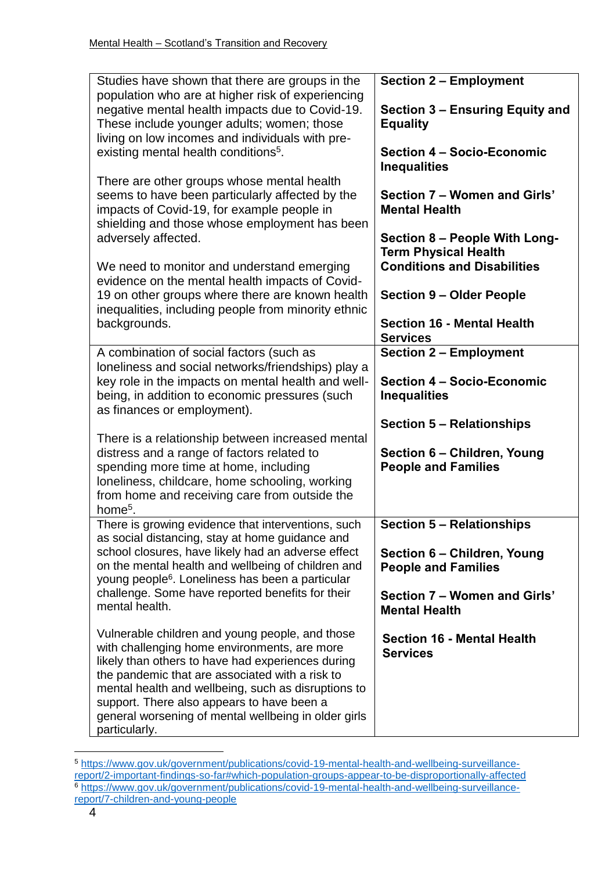| Studies have shown that there are groups in the<br>population who are at higher risk of experiencing                                                                                                                                                                                                                                                                                  | <b>Section 2 - Employment</b>                                                                      |
|---------------------------------------------------------------------------------------------------------------------------------------------------------------------------------------------------------------------------------------------------------------------------------------------------------------------------------------------------------------------------------------|----------------------------------------------------------------------------------------------------|
| negative mental health impacts due to Covid-19.<br>These include younger adults; women; those<br>living on low incomes and individuals with pre-                                                                                                                                                                                                                                      | Section 3 - Ensuring Equity and<br><b>Equality</b>                                                 |
| existing mental health conditions <sup>5</sup> .                                                                                                                                                                                                                                                                                                                                      | Section 4 - Socio-Economic<br><b>Inequalities</b>                                                  |
| There are other groups whose mental health<br>seems to have been particularly affected by the<br>impacts of Covid-19, for example people in<br>shielding and those whose employment has been                                                                                                                                                                                          | Section 7 - Women and Girls'<br><b>Mental Health</b>                                               |
| adversely affected.<br>We need to monitor and understand emerging<br>evidence on the mental health impacts of Covid-                                                                                                                                                                                                                                                                  | Section 8 - People With Long-<br><b>Term Physical Health</b><br><b>Conditions and Disabilities</b> |
| 19 on other groups where there are known health<br>inequalities, including people from minority ethnic                                                                                                                                                                                                                                                                                | <b>Section 9 - Older People</b>                                                                    |
| backgrounds.                                                                                                                                                                                                                                                                                                                                                                          | <b>Section 16 - Mental Health</b><br><b>Services</b>                                               |
| A combination of social factors (such as<br>loneliness and social networks/friendships) play a                                                                                                                                                                                                                                                                                        | <b>Section 2 - Employment</b>                                                                      |
| key role in the impacts on mental health and well-<br>being, in addition to economic pressures (such<br>as finances or employment).                                                                                                                                                                                                                                                   | Section 4 - Socio-Economic<br><b>Inequalities</b>                                                  |
|                                                                                                                                                                                                                                                                                                                                                                                       | <b>Section 5 - Relationships</b>                                                                   |
| There is a relationship between increased mental<br>distress and a range of factors related to<br>spending more time at home, including<br>loneliness, childcare, home schooling, working                                                                                                                                                                                             | Section 6 - Children, Young<br><b>People and Families</b>                                          |
| from home and receiving care from outside the<br>home <sup>5</sup> .                                                                                                                                                                                                                                                                                                                  |                                                                                                    |
| There is growing evidence that interventions, such<br>as social distancing, stay at home guidance and                                                                                                                                                                                                                                                                                 | <b>Section 5 - Relationships</b>                                                                   |
| school closures, have likely had an adverse effect<br>on the mental health and wellbeing of children and<br>young people <sup>6</sup> . Loneliness has been a particular                                                                                                                                                                                                              | Section 6 - Children, Young<br><b>People and Families</b>                                          |
| challenge. Some have reported benefits for their<br>mental health.                                                                                                                                                                                                                                                                                                                    | Section 7 – Women and Girls'<br><b>Mental Health</b>                                               |
| Vulnerable children and young people, and those<br>with challenging home environments, are more<br>likely than others to have had experiences during<br>the pandemic that are associated with a risk to<br>mental health and wellbeing, such as disruptions to<br>support. There also appears to have been a<br>general worsening of mental wellbeing in older girls<br>particularly. | <b>Section 16 - Mental Health</b><br><b>Services</b>                                               |

<sup>&</sup>lt;u>.</u> <sup>5</sup> [https://www.gov.uk/government/publications/covid-19-mental-health-and-wellbeing-surveillance](https://www.gov.uk/government/publications/covid-19-mental-health-and-wellbeing-surveillance-report/2-important-findings-so-far#which-population-groups-appear-to-be-disproportionally-affected)[report/2-important-findings-so-far#which-population-groups-appear-to-be-disproportionally-affected](https://www.gov.uk/government/publications/covid-19-mental-health-and-wellbeing-surveillance-report/2-important-findings-so-far#which-population-groups-appear-to-be-disproportionally-affected) <sup>6</sup> [https://www.gov.uk/government/publications/covid-19-mental-health-and-wellbeing-surveillance](https://www.gov.uk/government/publications/covid-19-mental-health-and-wellbeing-surveillance-report/7-children-and-young-people)[report/7-children-and-young-people](https://www.gov.uk/government/publications/covid-19-mental-health-and-wellbeing-surveillance-report/7-children-and-young-people)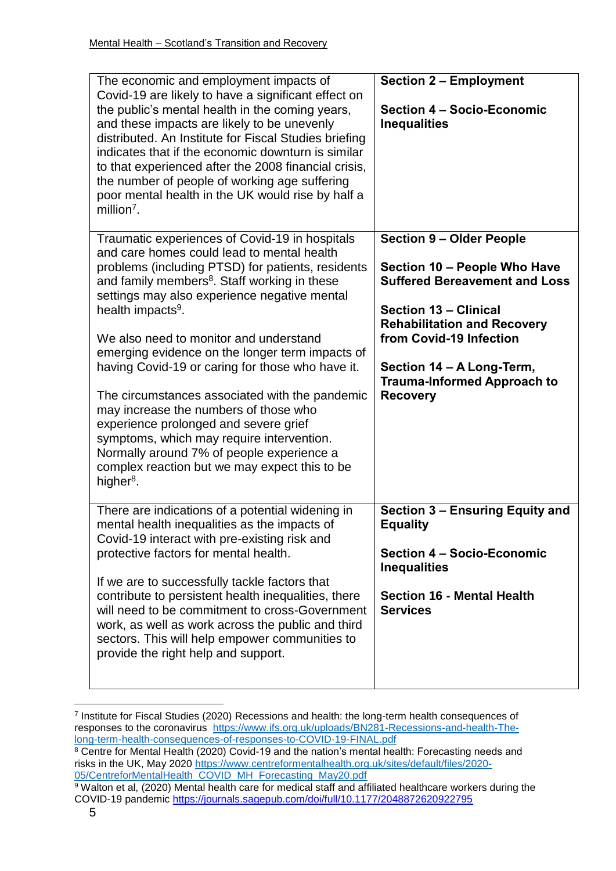| The economic and employment impacts of<br>Covid-19 are likely to have a significant effect on<br>the public's mental health in the coming years,<br>and these impacts are likely to be unevenly<br>distributed. An Institute for Fiscal Studies briefing<br>indicates that if the economic downturn is similar<br>to that experienced after the 2008 financial crisis,<br>the number of people of working age suffering<br>poor mental health in the UK would rise by half a<br>$m$ illion <sup>7</sup> .                                                                                                                                                                                                                                               | <b>Section 2 - Employment</b><br>Section 4 - Socio-Economic<br><b>Inequalities</b>                                                                                                                                                                                                      |
|---------------------------------------------------------------------------------------------------------------------------------------------------------------------------------------------------------------------------------------------------------------------------------------------------------------------------------------------------------------------------------------------------------------------------------------------------------------------------------------------------------------------------------------------------------------------------------------------------------------------------------------------------------------------------------------------------------------------------------------------------------|-----------------------------------------------------------------------------------------------------------------------------------------------------------------------------------------------------------------------------------------------------------------------------------------|
| Traumatic experiences of Covid-19 in hospitals<br>and care homes could lead to mental health<br>problems (including PTSD) for patients, residents<br>and family members <sup>8</sup> . Staff working in these<br>settings may also experience negative mental<br>health impacts <sup>9</sup> .<br>We also need to monitor and understand<br>emerging evidence on the longer term impacts of<br>having Covid-19 or caring for those who have it.<br>The circumstances associated with the pandemic<br>may increase the numbers of those who<br>experience prolonged and severe grief<br>symptoms, which may require intervention.<br>Normally around 7% of people experience a<br>complex reaction but we may expect this to be<br>higher <sup>8</sup> . | <b>Section 9 - Older People</b><br>Section 10 - People Who Have<br><b>Suffered Bereavement and Loss</b><br>Section 13 - Clinical<br><b>Rehabilitation and Recovery</b><br>from Covid-19 Infection<br>Section 14 - A Long-Term,<br><b>Trauma-Informed Approach to</b><br><b>Recovery</b> |
| There are indications of a potential widening in<br>mental health inequalities as the impacts of<br>Covid-19 interact with pre-existing risk and<br>protective factors for mental health.<br>If we are to successfully tackle factors that<br>contribute to persistent health inequalities, there<br>will need to be commitment to cross-Government<br>work, as well as work across the public and third<br>sectors. This will help empower communities to<br>provide the right help and support.                                                                                                                                                                                                                                                       | Section 3 - Ensuring Equity and<br><b>Equality</b><br><b>Section 4 - Socio-Economic</b><br><b>Inequalities</b><br><b>Section 16 - Mental Health</b><br><b>Services</b>                                                                                                                  |

<sup>7</sup> Institute for Fiscal Studies (2020) Recessions and health: the long-term health consequences of responses to the coronavirus [https://www.ifs.org.uk/uploads/BN281-Recessions-and-health-The](https://www.ifs.org.uk/uploads/BN281-Recessions-and-health-The-long-term-health-consequences-of-responses-to-COVID-19-FINAL.pdf)[long-term-health-consequences-of-responses-to-COVID-19-FINAL.pdf](https://www.ifs.org.uk/uploads/BN281-Recessions-and-health-The-long-term-health-consequences-of-responses-to-COVID-19-FINAL.pdf)

1

<sup>8</sup> Centre for Mental Health (2020) Covid-19 and the nation's mental health: Forecasting needs and risks in the UK, May 2020 [https://www.centreformentalhealth.org.uk/sites/default/files/2020-](https://www.centreformentalhealth.org.uk/sites/default/files/2020-05/CentreforMentalHealth_COVID_MH_Forecasting_May20.pdf) [05/CentreforMentalHealth\\_COVID\\_MH\\_Forecasting\\_May20.pdf](https://www.centreformentalhealth.org.uk/sites/default/files/2020-05/CentreforMentalHealth_COVID_MH_Forecasting_May20.pdf)

<sup>&</sup>lt;sup>9</sup> Walton et al, (2020) Mental health care for medical staff and affiliated healthcare workers during the COVID-19 pandemic <https://journals.sagepub.com/doi/full/10.1177/2048872620922795>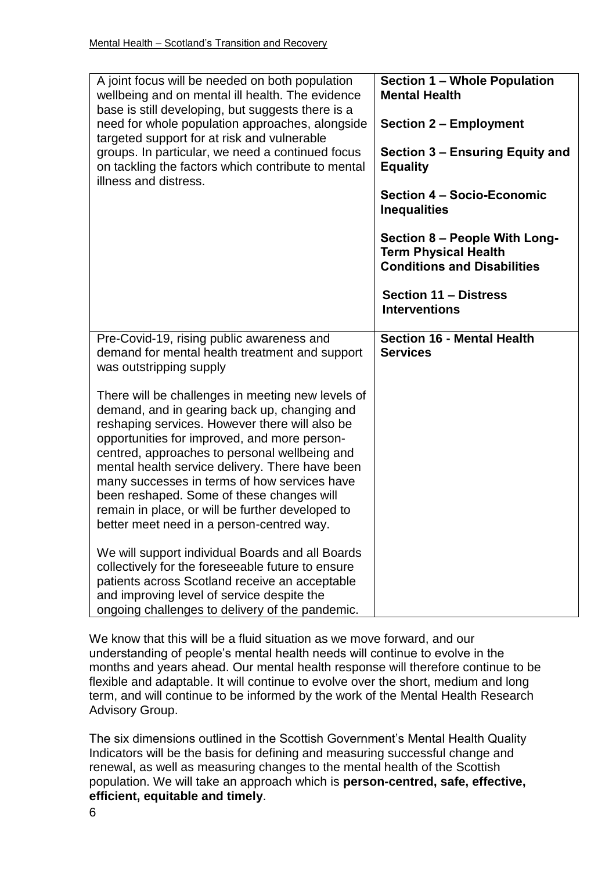| A joint focus will be needed on both population<br>wellbeing and on mental ill health. The evidence<br>base is still developing, but suggests there is a<br>need for whole population approaches, alongside<br>targeted support for at risk and vulnerable<br>groups. In particular, we need a continued focus<br>on tackling the factors which contribute to mental<br>illness and distress.                                                                                                                                                                                                                                                                    | <b>Section 1 - Whole Population</b><br><b>Mental Health</b><br><b>Section 2 - Employment</b><br>Section 3 – Ensuring Equity and<br><b>Equality</b><br>Section 4 - Socio-Economic<br><b>Inequalities</b><br>Section 8 - People With Long-<br><b>Term Physical Health</b><br><b>Conditions and Disabilities</b><br><b>Section 11 - Distress</b><br><b>Interventions</b> |
|------------------------------------------------------------------------------------------------------------------------------------------------------------------------------------------------------------------------------------------------------------------------------------------------------------------------------------------------------------------------------------------------------------------------------------------------------------------------------------------------------------------------------------------------------------------------------------------------------------------------------------------------------------------|-----------------------------------------------------------------------------------------------------------------------------------------------------------------------------------------------------------------------------------------------------------------------------------------------------------------------------------------------------------------------|
| Pre-Covid-19, rising public awareness and<br>demand for mental health treatment and support<br>was outstripping supply                                                                                                                                                                                                                                                                                                                                                                                                                                                                                                                                           | <b>Section 16 - Mental Health</b><br><b>Services</b>                                                                                                                                                                                                                                                                                                                  |
| There will be challenges in meeting new levels of<br>demand, and in gearing back up, changing and<br>reshaping services. However there will also be<br>opportunities for improved, and more person-<br>centred, approaches to personal wellbeing and<br>mental health service delivery. There have been<br>many successes in terms of how services have<br>been reshaped. Some of these changes will<br>remain in place, or will be further developed to<br>better meet need in a person-centred way.<br>We will support individual Boards and all Boards<br>collectively for the foreseeable future to ensure<br>patients across Scotland receive an acceptable |                                                                                                                                                                                                                                                                                                                                                                       |
| and improving level of service despite the<br>ongoing challenges to delivery of the pandemic.                                                                                                                                                                                                                                                                                                                                                                                                                                                                                                                                                                    |                                                                                                                                                                                                                                                                                                                                                                       |

We know that this will be a fluid situation as we move forward, and our understanding of people's mental health needs will continue to evolve in the months and years ahead. Our mental health response will therefore continue to be flexible and adaptable. It will continue to evolve over the short, medium and long term, and will continue to be informed by the work of the Mental Health Research Advisory Group.

The six dimensions outlined in the Scottish Government's Mental Health Quality Indicators will be the basis for defining and measuring successful change and renewal, as well as measuring changes to the mental health of the Scottish population. We will take an approach which is **person-centred, safe, effective, efficient, equitable and timely**.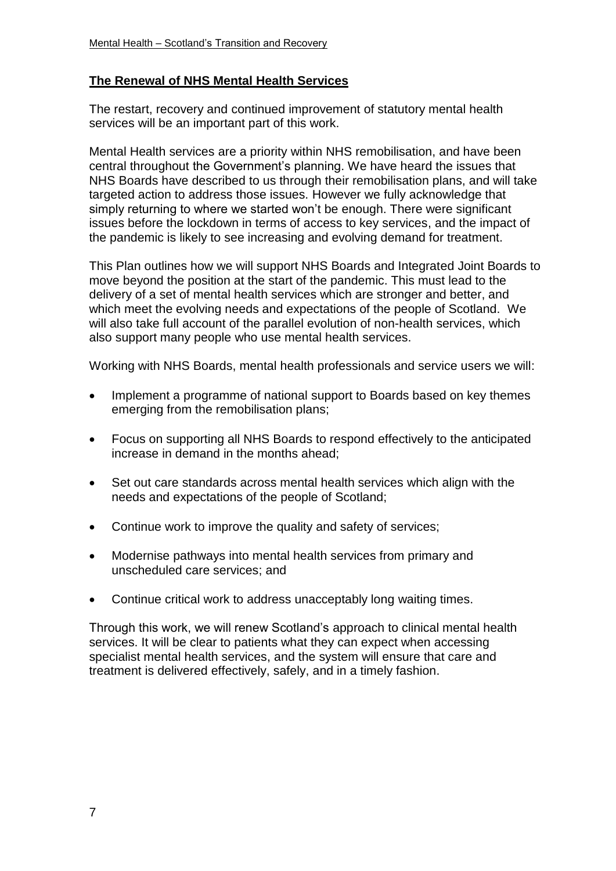#### **The Renewal of NHS Mental Health Services**

The restart, recovery and continued improvement of statutory mental health services will be an important part of this work.

Mental Health services are a priority within NHS remobilisation, and have been central throughout the Government's planning. We have heard the issues that NHS Boards have described to us through their remobilisation plans, and will take targeted action to address those issues. However we fully acknowledge that simply returning to where we started won't be enough. There were significant issues before the lockdown in terms of access to key services, and the impact of the pandemic is likely to see increasing and evolving demand for treatment.

This Plan outlines how we will support NHS Boards and Integrated Joint Boards to move beyond the position at the start of the pandemic. This must lead to the delivery of a set of mental health services which are stronger and better, and which meet the evolving needs and expectations of the people of Scotland. We will also take full account of the parallel evolution of non-health services, which also support many people who use mental health services.

Working with NHS Boards, mental health professionals and service users we will:

- Implement a programme of national support to Boards based on key themes emerging from the remobilisation plans;
- Focus on supporting all NHS Boards to respond effectively to the anticipated increase in demand in the months ahead;
- Set out care standards across mental health services which align with the needs and expectations of the people of Scotland;
- Continue work to improve the quality and safety of services:
- Modernise pathways into mental health services from primary and unscheduled care services; and
- Continue critical work to address unacceptably long waiting times.

Through this work, we will renew Scotland's approach to clinical mental health services. It will be clear to patients what they can expect when accessing specialist mental health services, and the system will ensure that care and treatment is delivered effectively, safely, and in a timely fashion.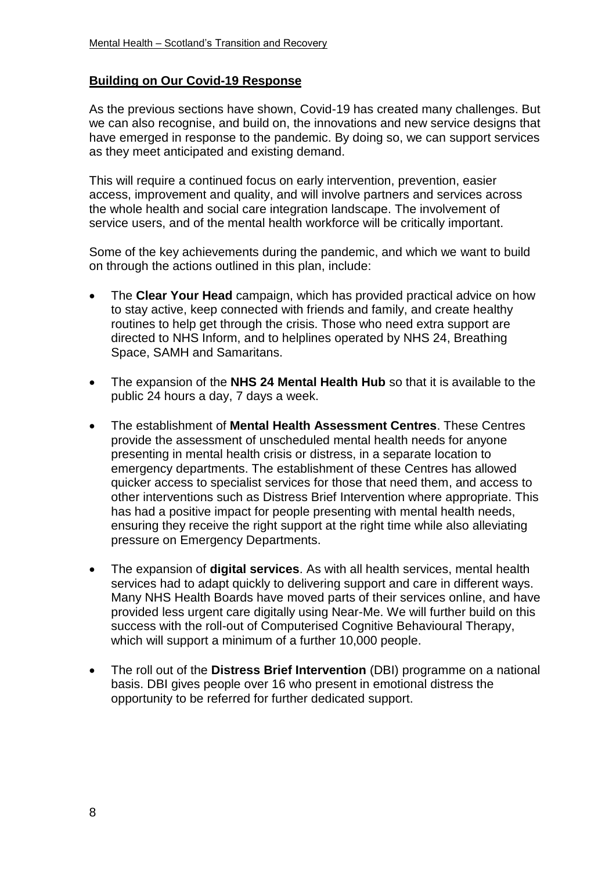#### **Building on Our Covid-19 Response**

As the previous sections have shown, Covid-19 has created many challenges. But we can also recognise, and build on, the innovations and new service designs that have emerged in response to the pandemic. By doing so, we can support services as they meet anticipated and existing demand.

This will require a continued focus on early intervention, prevention, easier access, improvement and quality, and will involve partners and services across the whole health and social care integration landscape. The involvement of service users, and of the mental health workforce will be critically important.

Some of the key achievements during the pandemic, and which we want to build on through the actions outlined in this plan, include:

- The **Clear Your Head** campaign, which has provided practical advice on how to stay active, keep connected with friends and family, and create healthy routines to help get through the crisis. Those who need extra support are directed to NHS Inform, and to helplines operated by NHS 24, Breathing Space, SAMH and Samaritans.
- The expansion of the **NHS 24 Mental Health Hub** so that it is available to the public 24 hours a day, 7 days a week.
- The establishment of **Mental Health Assessment Centres**. These Centres provide the assessment of unscheduled mental health needs for anyone presenting in mental health crisis or distress, in a separate location to emergency departments. The establishment of these Centres has allowed quicker access to specialist services for those that need them, and access to other interventions such as Distress Brief Intervention where appropriate. This has had a positive impact for people presenting with mental health needs, ensuring they receive the right support at the right time while also alleviating pressure on Emergency Departments.
- The expansion of **digital services**. As with all health services, mental health services had to adapt quickly to delivering support and care in different ways. Many NHS Health Boards have moved parts of their services online, and have provided less urgent care digitally using Near-Me. We will further build on this success with the roll-out of Computerised Cognitive Behavioural Therapy, which will support a minimum of a further 10,000 people.
- The roll out of the **Distress Brief Intervention** (DBI) programme on a national basis. DBI gives people over 16 who present in emotional distress the opportunity to be referred for further dedicated support.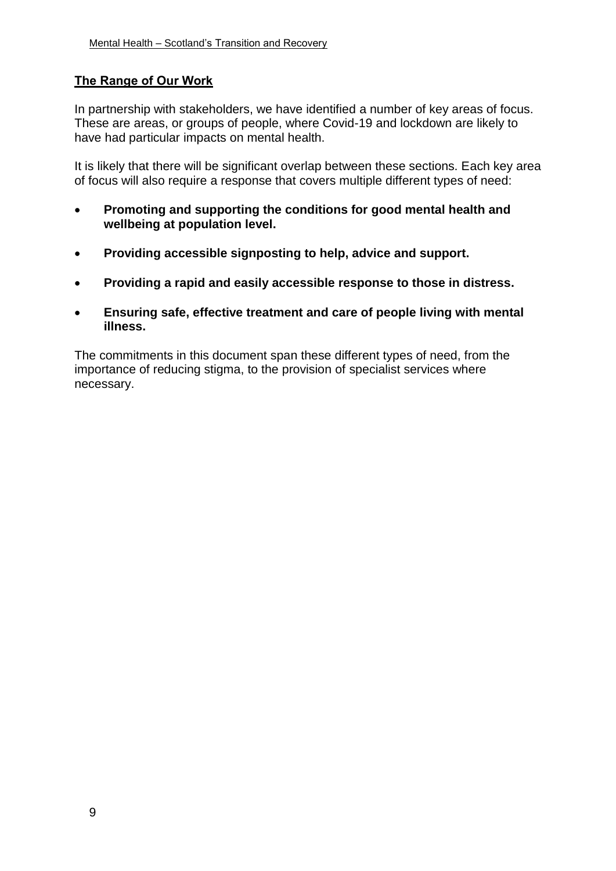# **The Range of Our Work**

In partnership with stakeholders, we have identified a number of key areas of focus. These are areas, or groups of people, where Covid-19 and lockdown are likely to have had particular impacts on mental health.

It is likely that there will be significant overlap between these sections. Each key area of focus will also require a response that covers multiple different types of need:

- **Promoting and supporting the conditions for good mental health and wellbeing at population level.**
- **Providing accessible signposting to help, advice and support.**
- **Providing a rapid and easily accessible response to those in distress.**
- **Ensuring safe, effective treatment and care of people living with mental illness.**

The commitments in this document span these different types of need, from the importance of reducing stigma, to the provision of specialist services where necessary.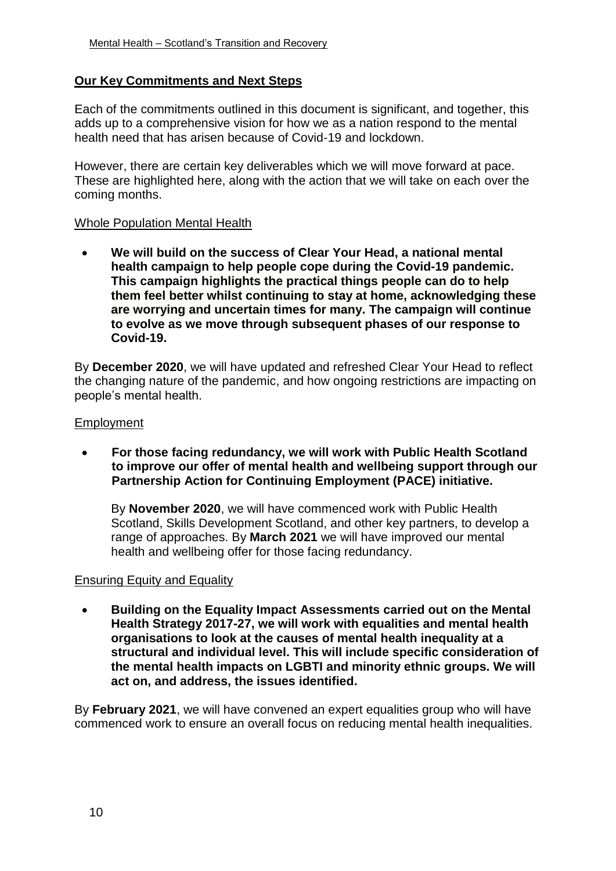#### **Our Key Commitments and Next Steps**

Each of the commitments outlined in this document is significant, and together, this adds up to a comprehensive vision for how we as a nation respond to the mental health need that has arisen because of Covid-19 and lockdown.

However, there are certain key deliverables which we will move forward at pace. These are highlighted here, along with the action that we will take on each over the coming months.

#### Whole Population Mental Health

 **We will build on the success of Clear Your Head, a national mental health campaign to help people cope during the Covid-19 pandemic. This campaign highlights the practical things people can do to help them feel better whilst continuing to stay at home, acknowledging these are worrying and uncertain times for many. The campaign will continue to evolve as we move through subsequent phases of our response to Covid-19.**

By **December 2020**, we will have updated and refreshed Clear Your Head to reflect the changing nature of the pandemic, and how ongoing restrictions are impacting on people's mental health.

#### **Employment**

 **For those facing redundancy, we will work with Public Health Scotland to improve our offer of mental health and wellbeing support through our Partnership Action for Continuing Employment (PACE) initiative.**

By **November 2020**, we will have commenced work with Public Health Scotland, Skills Development Scotland, and other key partners, to develop a range of approaches. By **March 2021** we will have improved our mental health and wellbeing offer for those facing redundancy.

#### Ensuring Equity and Equality

 **Building on the Equality Impact Assessments carried out on the Mental Health Strategy 2017-27, we will work with equalities and mental health organisations to look at the causes of mental health inequality at a structural and individual level. This will include specific consideration of the mental health impacts on LGBTI and minority ethnic groups. We will act on, and address, the issues identified.** 

By **February 2021**, we will have convened an expert equalities group who will have commenced work to ensure an overall focus on reducing mental health inequalities.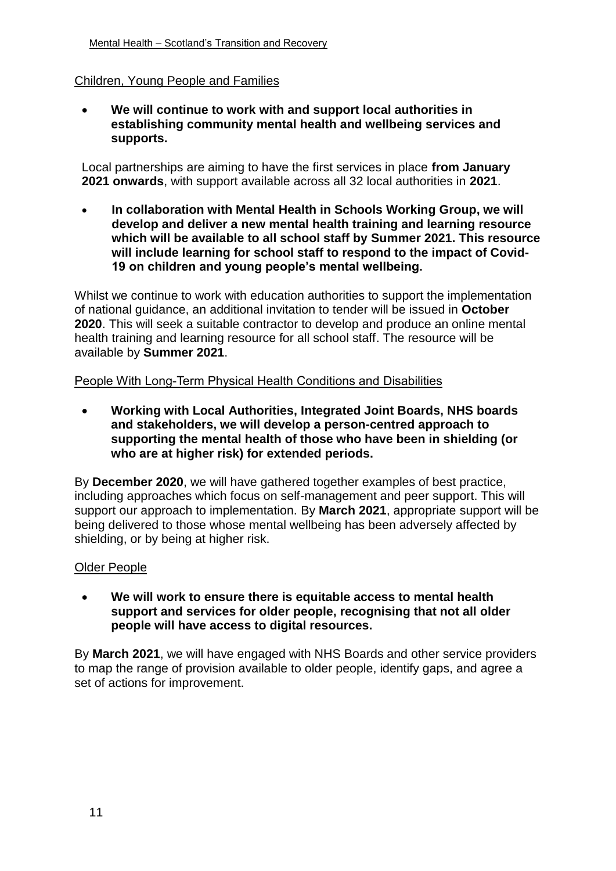#### Children, Young People and Families

 **We will continue to work with and support local authorities in establishing community mental health and wellbeing services and supports.**

Local partnerships are aiming to have the first services in place **from January 2021 onwards**, with support available across all 32 local authorities in **2021**.

 **In collaboration with Mental Health in Schools Working Group, we will develop and deliver a new mental health training and learning resource which will be available to all school staff by Summer 2021. This resource will include learning for school staff to respond to the impact of Covid-19 on children and young people's mental wellbeing.** 

Whilst we continue to work with education authorities to support the implementation of national guidance, an additional invitation to tender will be issued in **October 2020**. This will seek a suitable contractor to develop and produce an online mental health training and learning resource for all school staff. The resource will be available by **Summer 2021**.

People With Long-Term Physical Health Conditions and Disabilities

 **Working with Local Authorities, Integrated Joint Boards, NHS boards and stakeholders, we will develop a person-centred approach to supporting the mental health of those who have been in shielding (or who are at higher risk) for extended periods.**

By **December 2020**, we will have gathered together examples of best practice, including approaches which focus on self-management and peer support. This will support our approach to implementation. By **March 2021**, appropriate support will be being delivered to those whose mental wellbeing has been adversely affected by shielding, or by being at higher risk.

#### Older People

 **We will work to ensure there is equitable access to mental health support and services for older people, recognising that not all older people will have access to digital resources.** 

By **March 2021**, we will have engaged with NHS Boards and other service providers to map the range of provision available to older people, identify gaps, and agree a set of actions for improvement.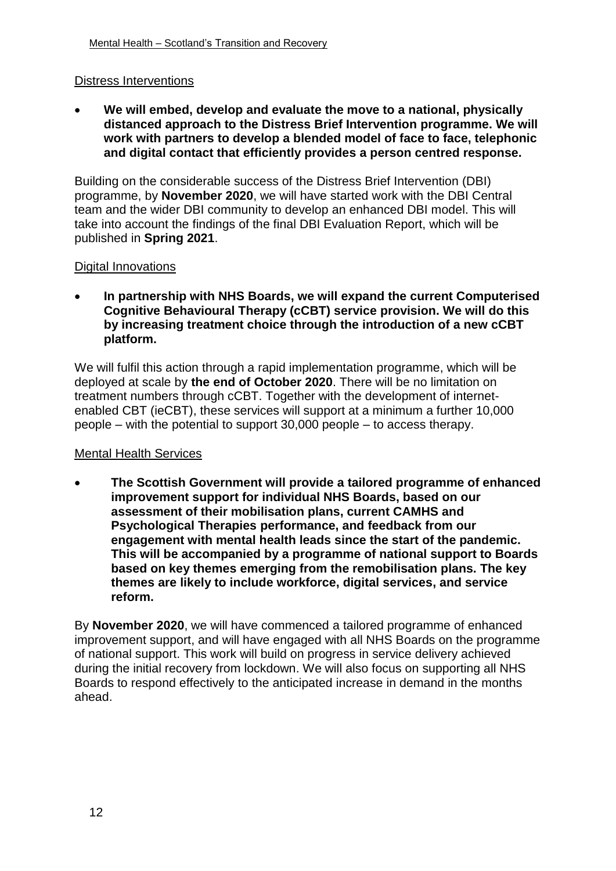#### Distress Interventions

 **We will embed, develop and evaluate the move to a national, physically distanced approach to the Distress Brief Intervention programme. We will work with partners to develop a blended model of face to face, telephonic and digital contact that efficiently provides a person centred response.**

Building on the considerable success of the Distress Brief Intervention (DBI) programme, by **November 2020**, we will have started work with the DBI Central team and the wider DBI community to develop an enhanced DBI model. This will take into account the findings of the final DBI Evaluation Report, which will be published in **Spring 2021**.

#### Digital Innovations

 **In partnership with NHS Boards, we will expand the current Computerised Cognitive Behavioural Therapy (cCBT) service provision. We will do this by increasing treatment choice through the introduction of a new cCBT platform.**

We will fulfil this action through a rapid implementation programme, which will be deployed at scale by **the end of October 2020**. There will be no limitation on treatment numbers through cCBT. Together with the development of internetenabled CBT (ieCBT), these services will support at a minimum a further 10,000 people – with the potential to support 30,000 people – to access therapy.

#### Mental Health Services

 **The Scottish Government will provide a tailored programme of enhanced improvement support for individual NHS Boards, based on our assessment of their mobilisation plans, current CAMHS and Psychological Therapies performance, and feedback from our engagement with mental health leads since the start of the pandemic. This will be accompanied by a programme of national support to Boards based on key themes emerging from the remobilisation plans. The key themes are likely to include workforce, digital services, and service reform.**

By **November 2020**, we will have commenced a tailored programme of enhanced improvement support, and will have engaged with all NHS Boards on the programme of national support. This work will build on progress in service delivery achieved during the initial recovery from lockdown. We will also focus on supporting all NHS Boards to respond effectively to the anticipated increase in demand in the months ahead.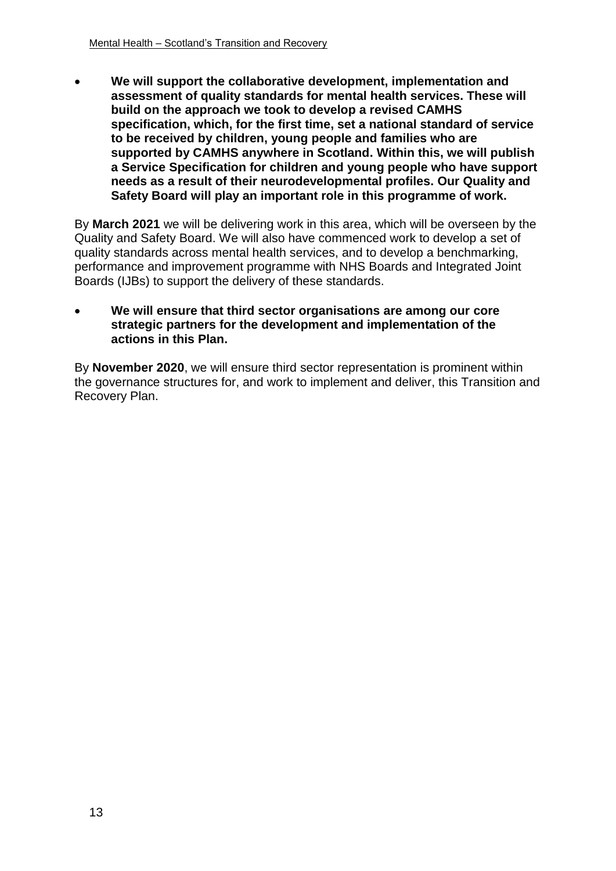**We will support the collaborative development, implementation and assessment of quality standards for mental health services. These will build on the approach we took to develop a revised CAMHS specification, which, for the first time, set a national standard of service to be received by children, young people and families who are supported by CAMHS anywhere in Scotland. Within this, we will publish a Service Specification for children and young people who have support needs as a result of their neurodevelopmental profiles. Our Quality and Safety Board will play an important role in this programme of work.**

By **March 2021** we will be delivering work in this area, which will be overseen by the Quality and Safety Board. We will also have commenced work to develop a set of quality standards across mental health services, and to develop a benchmarking, performance and improvement programme with NHS Boards and Integrated Joint Boards (IJBs) to support the delivery of these standards.

#### **We will ensure that third sector organisations are among our core strategic partners for the development and implementation of the actions in this Plan.**

By **November 2020**, we will ensure third sector representation is prominent within the governance structures for, and work to implement and deliver, this Transition and Recovery Plan.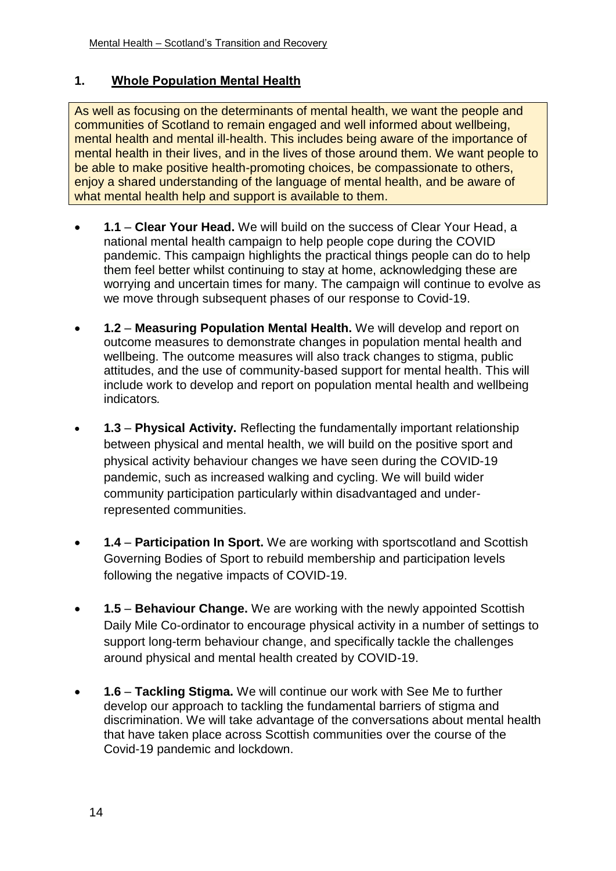# **1. Whole Population Mental Health**

As well as focusing on the determinants of mental health, we want the people and communities of Scotland to remain engaged and well informed about wellbeing, mental health and mental ill-health. This includes being aware of the importance of mental health in their lives, and in the lives of those around them. We want people to be able to make positive health-promoting choices, be compassionate to others, enjoy a shared understanding of the language of mental health, and be aware of what mental health help and support is available to them.

- **1.1 Clear Your Head.** We will build on the success of Clear Your Head, a national mental health campaign to help people cope during the COVID pandemic. This campaign highlights the practical things people can do to help them feel better whilst continuing to stay at home, acknowledging these are worrying and uncertain times for many. The campaign will continue to evolve as we move through subsequent phases of our response to Covid-19.
- **1.2 Measuring Population Mental Health.** We will develop and report on outcome measures to demonstrate changes in population mental health and wellbeing. The outcome measures will also track changes to stigma, public attitudes, and the use of community-based support for mental health. This will include work to develop and report on population mental health and wellbeing indicators*.*
- **1.3 Physical Activity.** Reflecting the fundamentally important relationship between physical and mental health, we will build on the positive sport and physical activity behaviour changes we have seen during the COVID-19 pandemic, such as increased walking and cycling. We will build wider community participation particularly within disadvantaged and underrepresented communities.
- **1.4 Participation In Sport.** We are working with sportscotland and Scottish Governing Bodies of Sport to rebuild membership and participation levels following the negative impacts of COVID-19.
- **1.5 Behaviour Change.** We are working with the newly appointed Scottish Daily Mile Co-ordinator to encourage physical activity in a number of settings to support long-term behaviour change, and specifically tackle the challenges around physical and mental health created by COVID-19.
- **1.6 Tackling Stigma.** We will continue our work with See Me to further develop our approach to tackling the fundamental barriers of stigma and discrimination. We will take advantage of the conversations about mental health that have taken place across Scottish communities over the course of the Covid-19 pandemic and lockdown.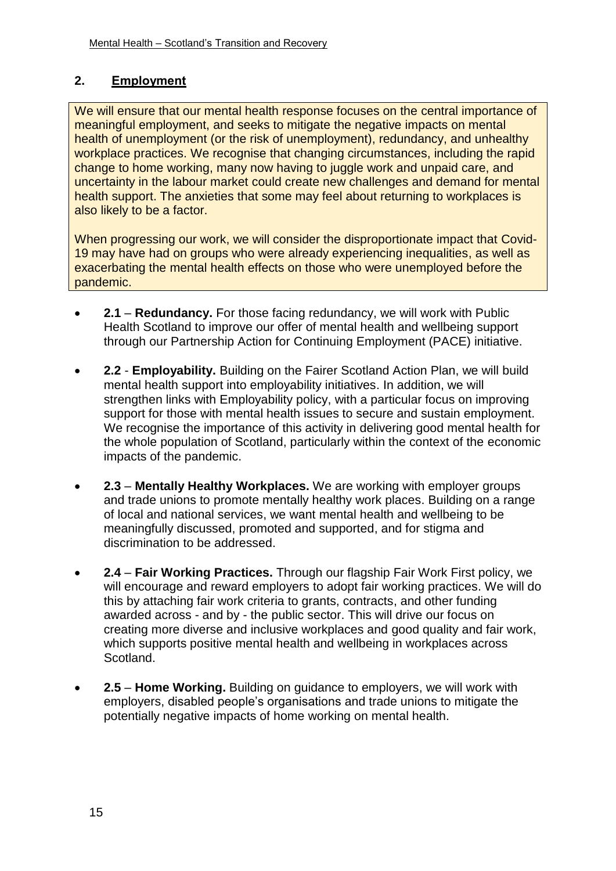# **2. Employment**

We will ensure that our mental health response focuses on the central importance of meaningful employment, and seeks to mitigate the negative impacts on mental health of unemployment (or the risk of unemployment), redundancy, and unhealthy workplace practices. We recognise that changing circumstances, including the rapid change to home working, many now having to juggle work and unpaid care, and uncertainty in the labour market could create new challenges and demand for mental health support. The anxieties that some may feel about returning to workplaces is also likely to be a factor.

When progressing our work, we will consider the disproportionate impact that Covid-19 may have had on groups who were already experiencing inequalities, as well as exacerbating the mental health effects on those who were unemployed before the pandemic.

- **2.1 Redundancy.** For those facing redundancy, we will work with Public Health Scotland to improve our offer of mental health and wellbeing support through our Partnership Action for Continuing Employment (PACE) initiative.
- **2.2 Employability.** Building on the Fairer Scotland Action Plan, we will build mental health support into employability initiatives. In addition, we will strengthen links with Employability policy, with a particular focus on improving support for those with mental health issues to secure and sustain employment. We recognise the importance of this activity in delivering good mental health for the whole population of Scotland, particularly within the context of the economic impacts of the pandemic.
- **2.3 Mentally Healthy Workplaces.** We are working with employer groups and trade unions to promote mentally healthy work places. Building on a range of local and national services, we want mental health and wellbeing to be meaningfully discussed, promoted and supported, and for stigma and discrimination to be addressed.
- **2.4 Fair Working Practices.** Through our flagship Fair Work First policy, we will encourage and reward employers to adopt fair working practices. We will do this by attaching fair work criteria to grants, contracts, and other funding awarded across - and by - the public sector. This will drive our focus on creating more diverse and inclusive workplaces and good quality and fair work, which supports positive mental health and wellbeing in workplaces across Scotland.
- **2.5 Home Working.** Building on guidance to employers, we will work with employers, disabled people's organisations and trade unions to mitigate the potentially negative impacts of home working on mental health.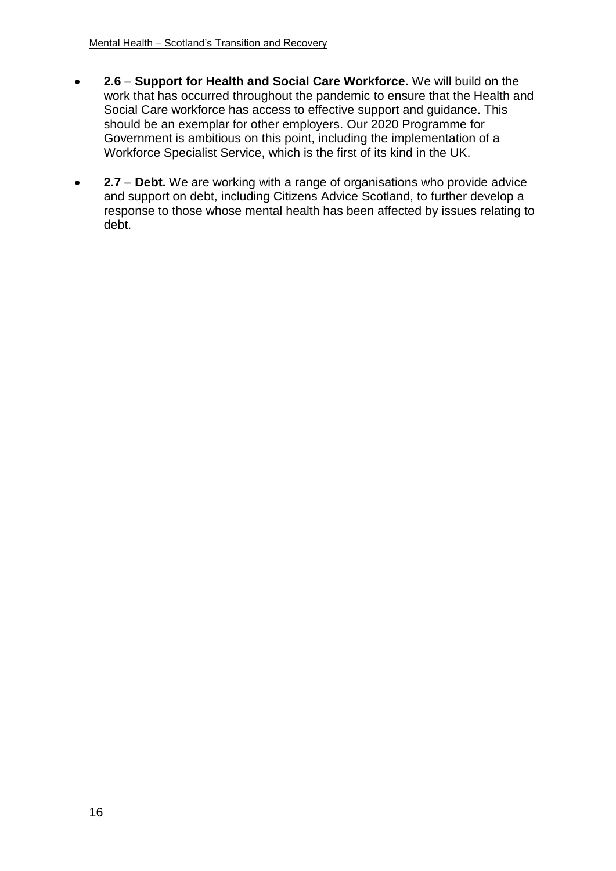- **2.6 Support for Health and Social Care Workforce.** We will build on the work that has occurred throughout the pandemic to ensure that the Health and Social Care workforce has access to effective support and guidance. This should be an exemplar for other employers. Our 2020 Programme for Government is ambitious on this point, including the implementation of a Workforce Specialist Service, which is the first of its kind in the UK.
- **2.7 Debt.** We are working with a range of organisations who provide advice and support on debt, including Citizens Advice Scotland, to further develop a response to those whose mental health has been affected by issues relating to debt.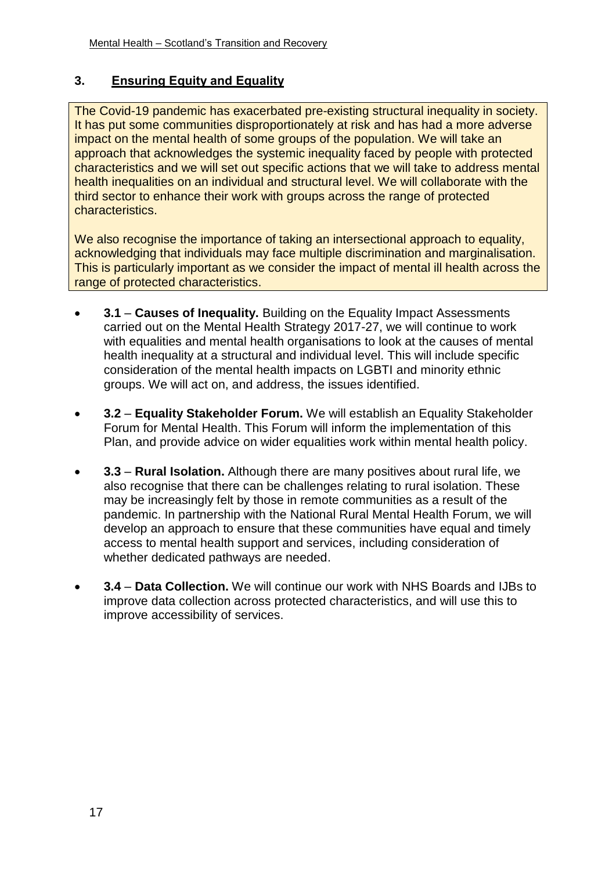# **3. Ensuring Equity and Equality**

The Covid-19 pandemic has exacerbated pre-existing structural inequality in society. It has put some communities disproportionately at risk and has had a more adverse impact on the mental health of some groups of the population. We will take an approach that acknowledges the systemic inequality faced by people with protected characteristics and we will set out specific actions that we will take to address mental health inequalities on an individual and structural level. We will collaborate with the third sector to enhance their work with groups across the range of protected characteristics.

We also recognise the importance of taking an intersectional approach to equality, acknowledging that individuals may face multiple discrimination and marginalisation. This is particularly important as we consider the impact of mental ill health across the range of protected characteristics.

- **3.1 Causes of Inequality.** Building on the Equality Impact Assessments carried out on the Mental Health Strategy 2017-27, we will continue to work with equalities and mental health organisations to look at the causes of mental health inequality at a structural and individual level. This will include specific consideration of the mental health impacts on LGBTI and minority ethnic groups. We will act on, and address, the issues identified.
- **3.2 Equality Stakeholder Forum.** We will establish an Equality Stakeholder Forum for Mental Health. This Forum will inform the implementation of this Plan, and provide advice on wider equalities work within mental health policy.
- **3.3 Rural Isolation.** Although there are many positives about rural life, we also recognise that there can be challenges relating to rural isolation. These may be increasingly felt by those in remote communities as a result of the pandemic. In partnership with the National Rural Mental Health Forum, we will develop an approach to ensure that these communities have equal and timely access to mental health support and services, including consideration of whether dedicated pathways are needed.
- **3.4 Data Collection.** We will continue our work with NHS Boards and IJBs to improve data collection across protected characteristics, and will use this to improve accessibility of services.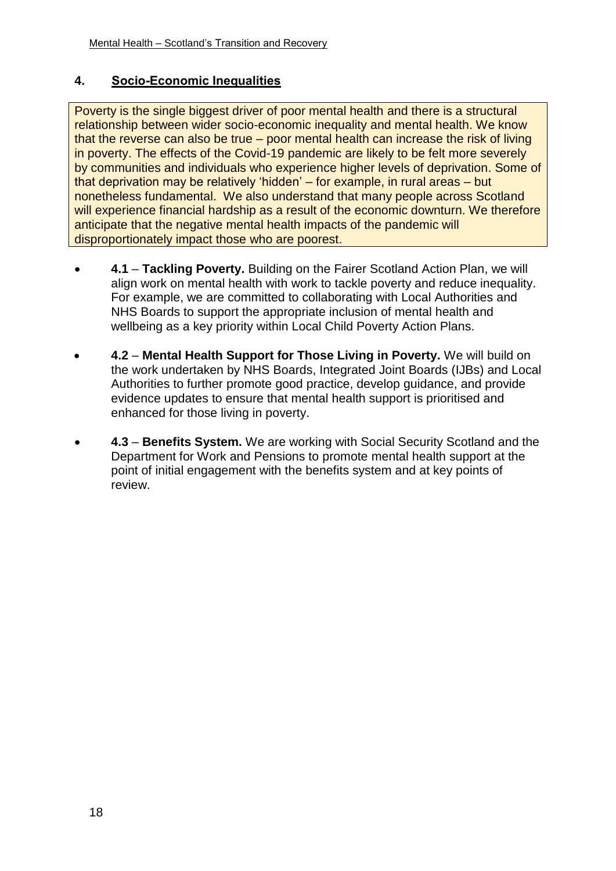# **4. Socio-Economic Inequalities**

Poverty is the single biggest driver of poor mental health and there is a structural relationship between wider socio-economic inequality and mental health. We know that the reverse can also be true – poor mental health can increase the risk of living in poverty. The effects of the Covid-19 pandemic are likely to be felt more severely by communities and individuals who experience higher levels of deprivation. Some of that deprivation may be relatively 'hidden' – for example, in rural areas – but nonetheless fundamental. We also understand that many people across Scotland will experience financial hardship as a result of the economic downturn. We therefore anticipate that the negative mental health impacts of the pandemic will disproportionately impact those who are poorest.

- **4.1 Tackling Poverty.** Building on the Fairer Scotland Action Plan, we will align work on mental health with work to tackle poverty and reduce inequality. For example, we are committed to collaborating with Local Authorities and NHS Boards to support the appropriate inclusion of mental health and wellbeing as a key priority within Local Child Poverty Action Plans.
- **4.2 Mental Health Support for Those Living in Poverty.** We will build on the work undertaken by NHS Boards, Integrated Joint Boards (IJBs) and Local Authorities to further promote good practice, develop guidance, and provide evidence updates to ensure that mental health support is prioritised and enhanced for those living in poverty.
- **4.3 Benefits System.** We are working with Social Security Scotland and the Department for Work and Pensions to promote mental health support at the point of initial engagement with the benefits system and at key points of review.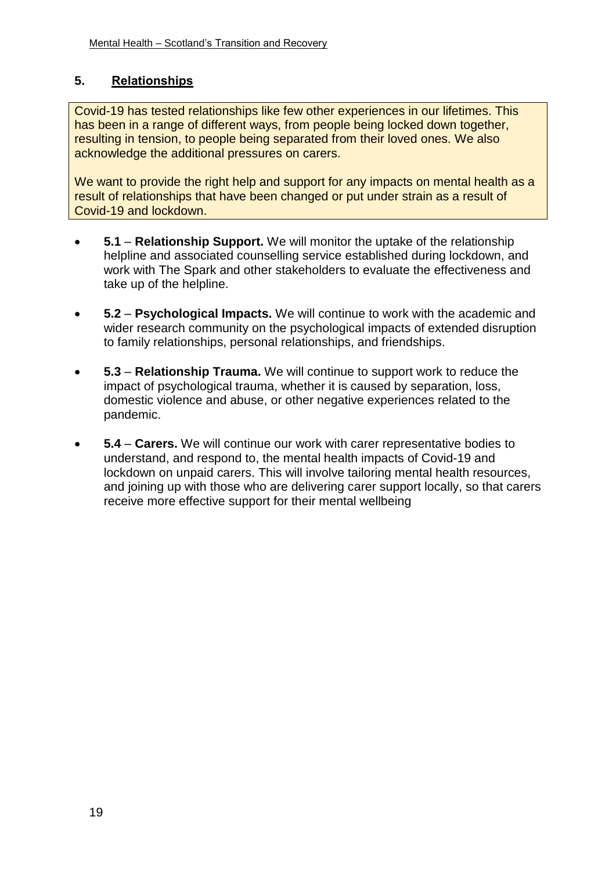# **5. Relationships**

Covid-19 has tested relationships like few other experiences in our lifetimes. This has been in a range of different ways, from people being locked down together, resulting in tension, to people being separated from their loved ones. We also acknowledge the additional pressures on carers.

We want to provide the right help and support for any impacts on mental health as a result of relationships that have been changed or put under strain as a result of Covid-19 and lockdown.

- **5.1 Relationship Support.** We will monitor the uptake of the relationship helpline and associated counselling service established during lockdown, and work with The Spark and other stakeholders to evaluate the effectiveness and take up of the helpline.
- **5.2 Psychological Impacts.** We will continue to work with the academic and wider research community on the psychological impacts of extended disruption to family relationships, personal relationships, and friendships.
- **5.3 Relationship Trauma.** We will continue to support work to reduce the impact of psychological trauma, whether it is caused by separation, loss, domestic violence and abuse, or other negative experiences related to the pandemic.
- **5.4 Carers.** We will continue our work with carer representative bodies to understand, and respond to, the mental health impacts of Covid-19 and lockdown on unpaid carers. This will involve tailoring mental health resources, and joining up with those who are delivering carer support locally, so that carers receive more effective support for their mental wellbeing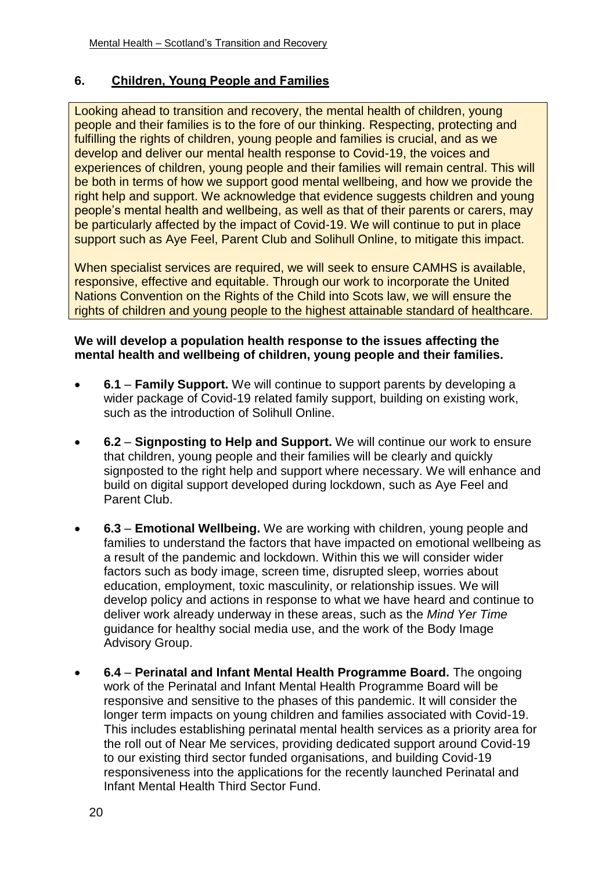# **6. Children, Young People and Families**

Looking ahead to transition and recovery, the mental health of children, young people and their families is to the fore of our thinking. Respecting, protecting and fulfilling the rights of children, young people and families is crucial, and as we develop and deliver our mental health response to Covid-19, the voices and experiences of children, young people and their families will remain central. This will be both in terms of how we support good mental wellbeing, and how we provide the right help and support. We acknowledge that evidence suggests children and young people's mental health and wellbeing, as well as that of their parents or carers, may be particularly affected by the impact of Covid-19. We will continue to put in place support such as Aye Feel, Parent Club and Solihull Online, to mitigate this impact.

When specialist services are required, we will seek to ensure CAMHS is available, responsive, effective and equitable. Through our work to incorporate the United Nations Convention on the Rights of the Child into Scots law, we will ensure the rights of children and young people to the highest attainable standard of healthcare.

#### **We will develop a population health response to the issues affecting the mental health and wellbeing of children, young people and their families.**

- **6.1 Family Support.** We will continue to support parents by developing a wider package of Covid-19 related family support, building on existing work, such as the introduction of Solihull Online.
- **6.2 Signposting to Help and Support.** We will continue our work to ensure that children, young people and their families will be clearly and quickly signposted to the right help and support where necessary. We will enhance and build on digital support developed during lockdown, such as Aye Feel and Parent Club.
- **6.3 Emotional Wellbeing.** We are working with children, young people and families to understand the factors that have impacted on emotional wellbeing as a result of the pandemic and lockdown. Within this we will consider wider factors such as body image, screen time, disrupted sleep, worries about education, employment, toxic masculinity, or relationship issues. We will develop policy and actions in response to what we have heard and continue to deliver work already underway in these areas, such as the *Mind Yer Time* guidance for healthy social media use, and the work of the Body Image Advisory Group.
- **6.4 Perinatal and Infant Mental Health Programme Board.** The ongoing work of the Perinatal and Infant Mental Health Programme Board will be responsive and sensitive to the phases of this pandemic. It will consider the longer term impacts on young children and families associated with Covid-19. This includes establishing perinatal mental health services as a priority area for the roll out of Near Me services, providing dedicated support around Covid-19 to our existing third sector funded organisations, and building Covid-19 responsiveness into the applications for the recently launched Perinatal and Infant Mental Health Third Sector Fund.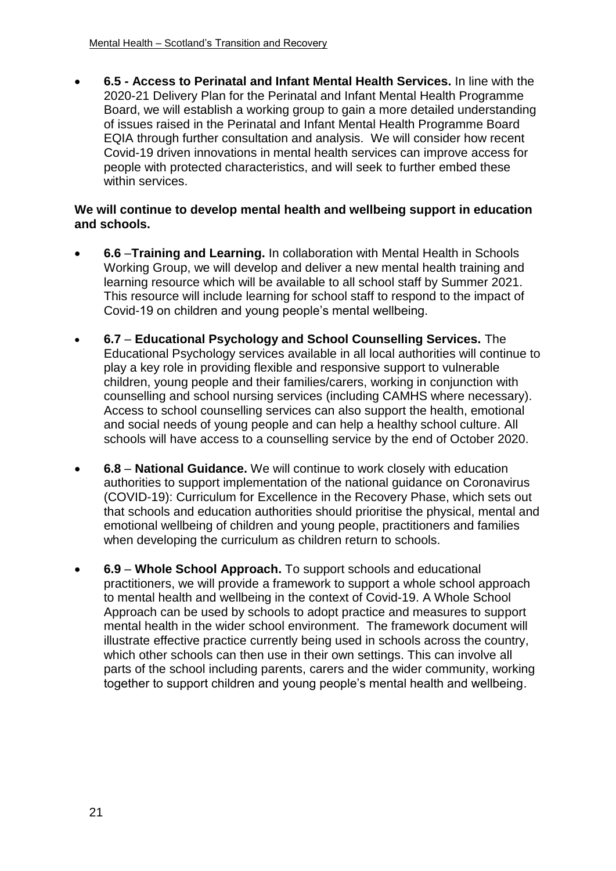**6.5 - Access to Perinatal and Infant Mental Health Services.** In line with the 2020-21 Delivery Plan for the Perinatal and Infant Mental Health Programme Board, we will establish a working group to gain a more detailed understanding of issues raised in the Perinatal and Infant Mental Health Programme Board EQIA through further consultation and analysis. We will consider how recent Covid-19 driven innovations in mental health services can improve access for people with protected characteristics, and will seek to further embed these within services.

#### **We will continue to develop mental health and wellbeing support in education and schools.**

- **6.6** –**Training and Learning.** In collaboration with Mental Health in Schools Working Group, we will develop and deliver a new mental health training and learning resource which will be available to all school staff by Summer 2021. This resource will include learning for school staff to respond to the impact of Covid-19 on children and young people's mental wellbeing.
- **6.7 Educational Psychology and School Counselling Services.** The Educational Psychology services available in all local authorities will continue to play a key role in providing flexible and responsive support to vulnerable children, young people and their families/carers, working in conjunction with counselling and school nursing services (including CAMHS where necessary). Access to school counselling services can also support the health, emotional and social needs of young people and can help a healthy school culture. All schools will have access to a counselling service by the end of October 2020.
- **6.8 National Guidance.** We will continue to work closely with education authorities to support implementation of the national guidance on Coronavirus (COVID-19): Curriculum for Excellence in the Recovery Phase, which sets out that schools and education authorities should prioritise the physical, mental and emotional wellbeing of children and young people, practitioners and families when developing the curriculum as children return to schools.
- **6.9 Whole School Approach.** To support schools and educational practitioners, we will provide a framework to support a whole school approach to mental health and wellbeing in the context of Covid-19. A Whole School Approach can be used by schools to adopt practice and measures to support mental health in the wider school environment. The framework document will illustrate effective practice currently being used in schools across the country, which other schools can then use in their own settings. This can involve all parts of the school including parents, carers and the wider community, working together to support children and young people's mental health and wellbeing.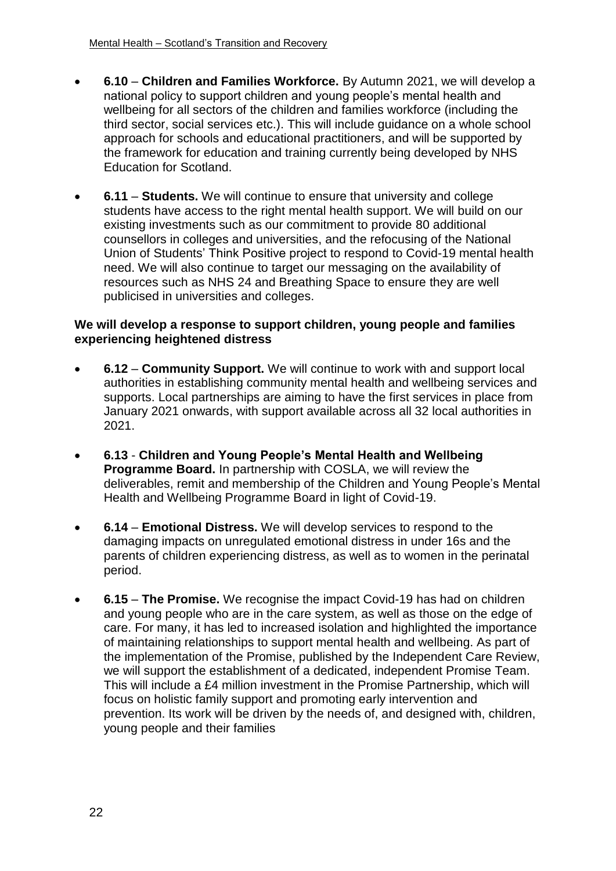- **6.10 Children and Families Workforce.** By Autumn 2021, we will develop a national policy to support children and young people's mental health and wellbeing for all sectors of the children and families workforce (including the third sector, social services etc.). This will include guidance on a whole school approach for schools and educational practitioners, and will be supported by the framework for education and training currently being developed by NHS Education for Scotland.
- **6.11 Students.** We will continue to ensure that university and college students have access to the right mental health support. We will build on our existing investments such as our commitment to provide 80 additional counsellors in colleges and universities, and the refocusing of the National Union of Students' Think Positive project to respond to Covid-19 mental health need. We will also continue to target our messaging on the availability of resources such as NHS 24 and Breathing Space to ensure they are well publicised in universities and colleges.

#### **We will develop a response to support children, young people and families experiencing heightened distress**

- **6.12 Community Support.** We will continue to work with and support local authorities in establishing community mental health and wellbeing services and supports. Local partnerships are aiming to have the first services in place from January 2021 onwards, with support available across all 32 local authorities in 2021.
- **6.13 Children and Young People's Mental Health and Wellbeing Programme Board.** In partnership with COSLA, we will review the deliverables, remit and membership of the Children and Young People's Mental Health and Wellbeing Programme Board in light of Covid-19.
- **6.14 Emotional Distress.** We will develop services to respond to the damaging impacts on unregulated emotional distress in under 16s and the parents of children experiencing distress, as well as to women in the perinatal period.
- **6.15 The Promise.** We recognise the impact Covid-19 has had on children and young people who are in the care system, as well as those on the edge of care. For many, it has led to increased isolation and highlighted the importance of maintaining relationships to support mental health and wellbeing. As part of the implementation of the Promise, published by the Independent Care Review, we will support the establishment of a dedicated, independent Promise Team. This will include a £4 million investment in the Promise Partnership, which will focus on holistic family support and promoting early intervention and prevention. Its work will be driven by the needs of, and designed with, children, young people and their families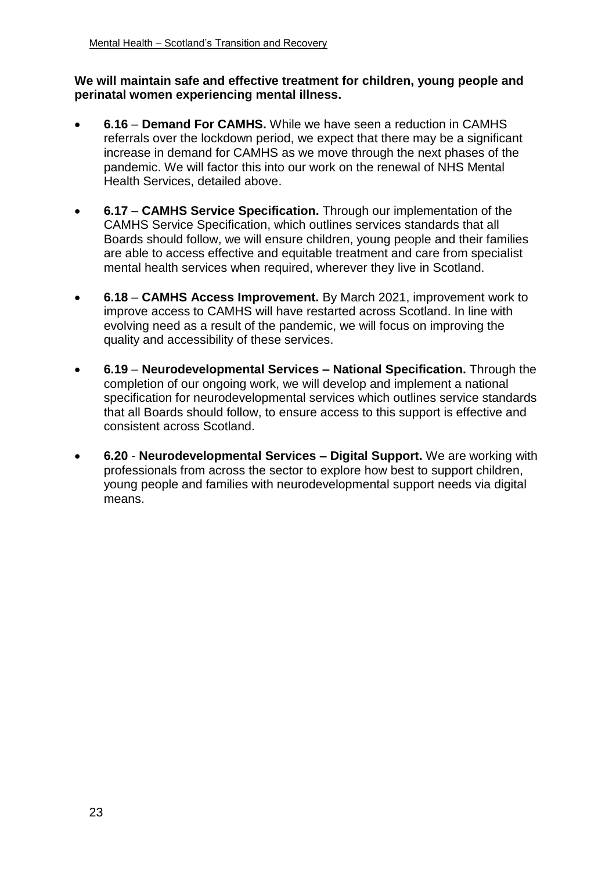#### **We will maintain safe and effective treatment for children, young people and perinatal women experiencing mental illness.**

- **6.16 Demand For CAMHS.** While we have seen a reduction in CAMHS referrals over the lockdown period, we expect that there may be a significant increase in demand for CAMHS as we move through the next phases of the pandemic. We will factor this into our work on the renewal of NHS Mental Health Services, detailed above.
- **6.17 CAMHS Service Specification.** Through our implementation of the CAMHS Service Specification, which outlines services standards that all Boards should follow, we will ensure children, young people and their families are able to access effective and equitable treatment and care from specialist mental health services when required, wherever they live in Scotland.
- **6.18 CAMHS Access Improvement.** By March 2021, improvement work to improve access to CAMHS will have restarted across Scotland. In line with evolving need as a result of the pandemic, we will focus on improving the quality and accessibility of these services.
- **6.19 Neurodevelopmental Services – National Specification.** Through the completion of our ongoing work, we will develop and implement a national specification for neurodevelopmental services which outlines service standards that all Boards should follow, to ensure access to this support is effective and consistent across Scotland.
- **6.20 Neurodevelopmental Services – Digital Support.** We are working with professionals from across the sector to explore how best to support children, young people and families with neurodevelopmental support needs via digital means.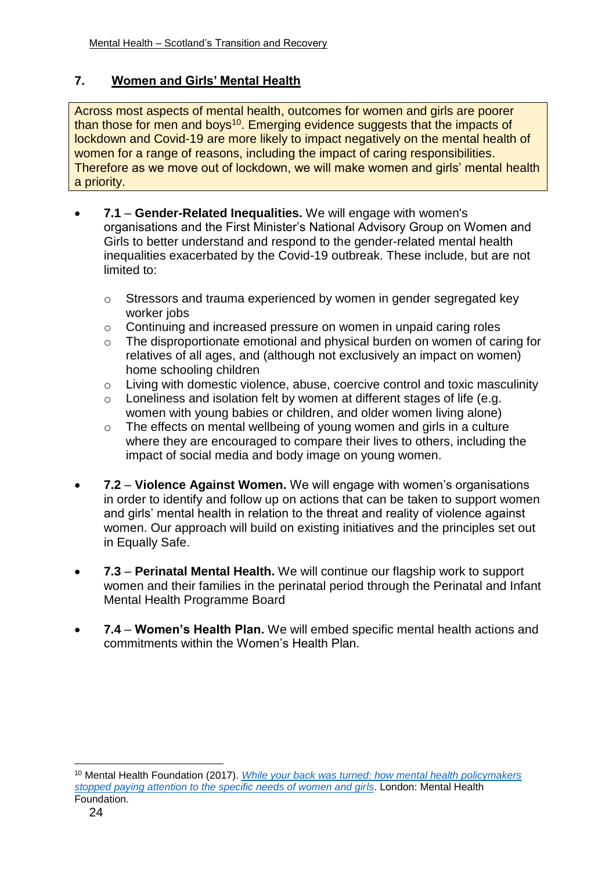# **7. Women and Girls' Mental Health**

Across most aspects of mental health, outcomes for women and girls are poorer than those for men and boys<sup>10</sup>. Emerging evidence suggests that the impacts of lockdown and Covid-19 are more likely to impact negatively on the mental health of women for a range of reasons, including the impact of caring responsibilities. Therefore as we move out of lockdown, we will make women and girls' mental health a priority.

- **7.1 Gender-Related Inequalities.** We will engage with women's organisations and the First Minister's National Advisory Group on Women and Girls to better understand and respond to the gender-related mental health inequalities exacerbated by the Covid-19 outbreak. These include, but are not limited to:
	- o Stressors and trauma experienced by women in gender segregated key worker jobs
	- o Continuing and increased pressure on women in unpaid caring roles
	- o The disproportionate emotional and physical burden on women of caring for relatives of all ages, and (although not exclusively an impact on women) home schooling children
	- o Living with domestic violence, abuse, coercive control and toxic masculinity
	- o Loneliness and isolation felt by women at different stages of life (e.g. women with young babies or children, and older women living alone)
	- o The effects on mental wellbeing of young women and girls in a culture where they are encouraged to compare their lives to others, including the impact of social media and body image on young women.
- **7.2 Violence Against Women.** We will engage with women's organisations in order to identify and follow up on actions that can be taken to support women and girls' mental health in relation to the threat and reality of violence against women. Our approach will build on existing initiatives and the principles set out in Equally Safe.
- **7.3 Perinatal Mental Health.** We will continue our flagship work to support women and their families in the perinatal period through the Perinatal and Infant Mental Health Programme Board
- **7.4 Women's Health Plan.** We will embed specific mental health actions and commitments within the Women's Health Plan.

1

<sup>10</sup> Mental Health Foundation (2017). *[While your back was turned: how mental health policymakers](https://www.google.co.uk/url?sa=t&rct=j&q=&esrc=s&source=web&cd=1&ved=2ahUKEwj7obrEq83gAhUlSRUIHXB0DfMQFjAAegQICRAC&url=https%3A%2F%2Fwww.mentalhealth.org.uk%2Ffile%2F3095%2Fdownload%3Ftoken%3DuuvaR-4U&usg=AOvVaw1a7fdaf_5VinlCYVl6XvCR)  [stopped paying attention to the specific needs of women and girls](https://www.google.co.uk/url?sa=t&rct=j&q=&esrc=s&source=web&cd=1&ved=2ahUKEwj7obrEq83gAhUlSRUIHXB0DfMQFjAAegQICRAC&url=https%3A%2F%2Fwww.mentalhealth.org.uk%2Ffile%2F3095%2Fdownload%3Ftoken%3DuuvaR-4U&usg=AOvVaw1a7fdaf_5VinlCYVl6XvCR)*. London: Mental Health Foundation.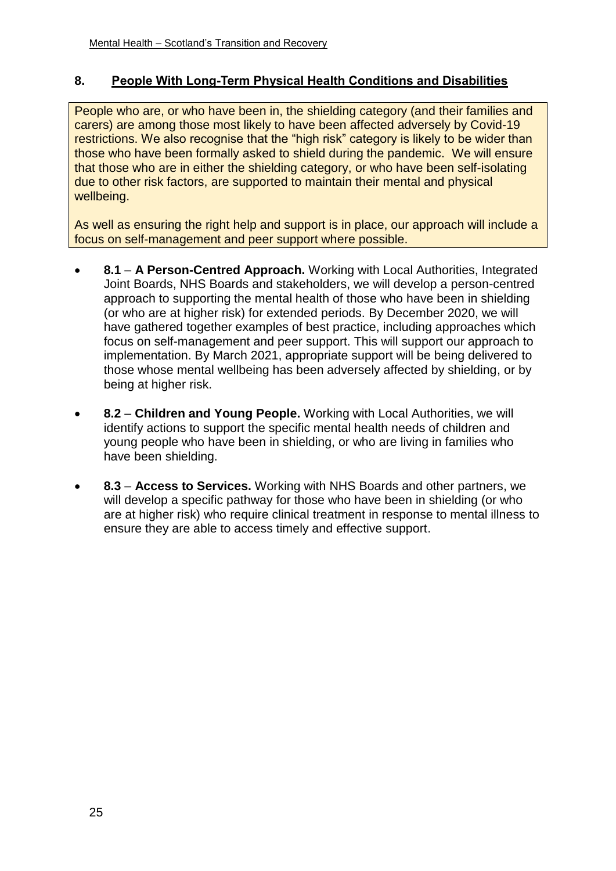# **8. People With Long-Term Physical Health Conditions and Disabilities**

People who are, or who have been in, the shielding category (and their families and carers) are among those most likely to have been affected adversely by Covid-19 restrictions. We also recognise that the "high risk" category is likely to be wider than those who have been formally asked to shield during the pandemic. We will ensure that those who are in either the shielding category, or who have been self-isolating due to other risk factors, are supported to maintain their mental and physical wellbeing.

As well as ensuring the right help and support is in place, our approach will include a focus on self-management and peer support where possible.

- **8.1 A Person-Centred Approach.** Working with Local Authorities, Integrated Joint Boards, NHS Boards and stakeholders, we will develop a person-centred approach to supporting the mental health of those who have been in shielding (or who are at higher risk) for extended periods. By December 2020, we will have gathered together examples of best practice, including approaches which focus on self-management and peer support. This will support our approach to implementation. By March 2021, appropriate support will be being delivered to those whose mental wellbeing has been adversely affected by shielding, or by being at higher risk.
- **8.2 Children and Young People.** Working with Local Authorities, we will identify actions to support the specific mental health needs of children and young people who have been in shielding, or who are living in families who have been shielding.
- **8.3 Access to Services.** Working with NHS Boards and other partners, we will develop a specific pathway for those who have been in shielding (or who are at higher risk) who require clinical treatment in response to mental illness to ensure they are able to access timely and effective support.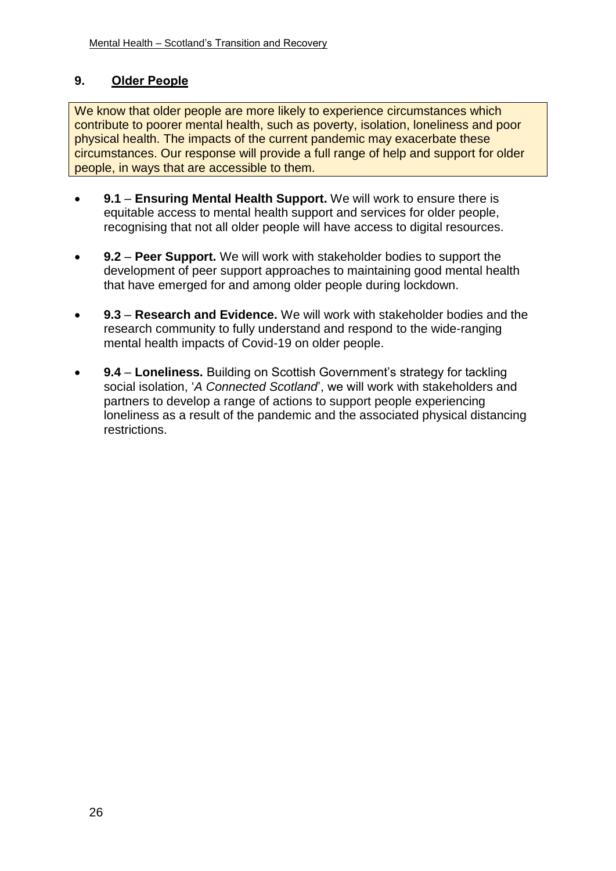# **9. Older People**

We know that older people are more likely to experience circumstances which contribute to poorer mental health, such as poverty, isolation, loneliness and poor physical health. The impacts of the current pandemic may exacerbate these circumstances. Our response will provide a full range of help and support for older people, in ways that are accessible to them.

- **9.1 Ensuring Mental Health Support.** We will work to ensure there is equitable access to mental health support and services for older people, recognising that not all older people will have access to digital resources.
- **9.2 Peer Support.** We will work with stakeholder bodies to support the development of peer support approaches to maintaining good mental health that have emerged for and among older people during lockdown.
- **9.3 Research and Evidence.** We will work with stakeholder bodies and the research community to fully understand and respond to the wide-ranging mental health impacts of Covid-19 on older people.
- **9.4 Loneliness.** Building on Scottish Government's strategy for tackling social isolation, '*A Connected Scotland*', we will work with stakeholders and partners to develop a range of actions to support people experiencing loneliness as a result of the pandemic and the associated physical distancing restrictions.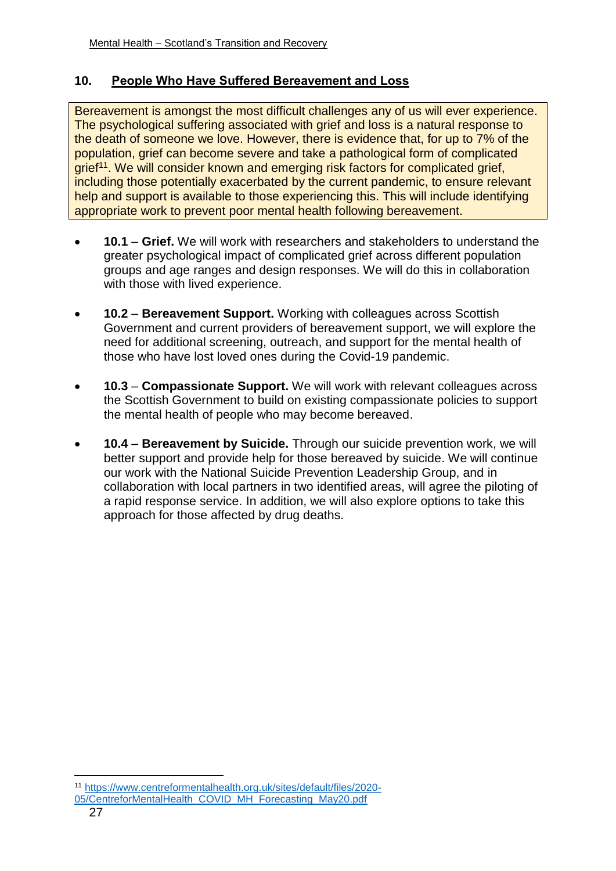#### **10. People Who Have Suffered Bereavement and Loss**

Bereavement is amongst the most difficult challenges any of us will ever experience. The psychological suffering associated with grief and loss is a natural response to the death of someone we love. However, there is evidence that, for up to 7% of the population, grief can become severe and take a pathological form of complicated grief<sup>11</sup>. We will consider known and emerging risk factors for complicated grief, including those potentially exacerbated by the current pandemic, to ensure relevant help and support is available to those experiencing this. This will include identifying appropriate work to prevent poor mental health following bereavement.

- **10.1 Grief.** We will work with researchers and stakeholders to understand the greater psychological impact of complicated grief across different population groups and age ranges and design responses. We will do this in collaboration with those with lived experience.
- **10.2 Bereavement Support.** Working with colleagues across Scottish Government and current providers of bereavement support, we will explore the need for additional screening, outreach, and support for the mental health of those who have lost loved ones during the Covid-19 pandemic.
- **10.3 Compassionate Support.** We will work with relevant colleagues across the Scottish Government to build on existing compassionate policies to support the mental health of people who may become bereaved.
- **10.4 Bereavement by Suicide.** Through our suicide prevention work, we will better support and provide help for those bereaved by suicide. We will continue our work with the National Suicide Prevention Leadership Group, and in collaboration with local partners in two identified areas, will agree the piloting of a rapid response service. In addition, we will also explore options to take this approach for those affected by drug deaths.

1

<sup>11</sup> [https://www.centreformentalhealth.org.uk/sites/default/files/2020-](https://www.centreformentalhealth.org.uk/sites/default/files/2020-05/CentreforMentalHealth_COVID_MH_Forecasting_May20.pdf)

[<sup>05/</sup>CentreforMentalHealth\\_COVID\\_MH\\_Forecasting\\_May20.pdf](https://www.centreformentalhealth.org.uk/sites/default/files/2020-05/CentreforMentalHealth_COVID_MH_Forecasting_May20.pdf)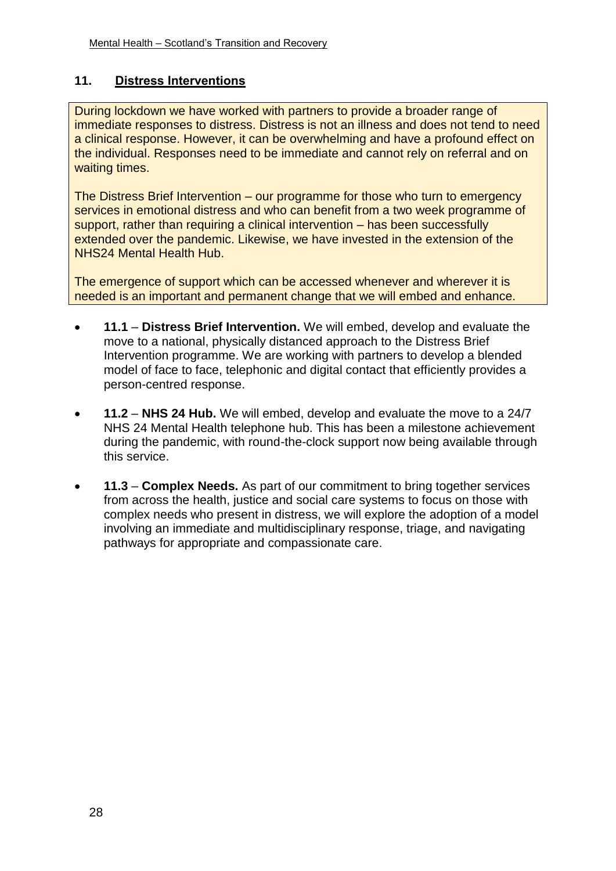# **11. Distress Interventions**

During lockdown we have worked with partners to provide a broader range of immediate responses to distress. Distress is not an illness and does not tend to need a clinical response. However, it can be overwhelming and have a profound effect on the individual. Responses need to be immediate and cannot rely on referral and on waiting times.

The Distress Brief Intervention – our programme for those who turn to emergency services in emotional distress and who can benefit from a two week programme of support, rather than requiring a clinical intervention – has been successfully extended over the pandemic. Likewise, we have invested in the extension of the NHS24 Mental Health Hub.

The emergence of support which can be accessed whenever and wherever it is needed is an important and permanent change that we will embed and enhance.

- **11.1 Distress Brief Intervention.** We will embed, develop and evaluate the move to a national, physically distanced approach to the Distress Brief Intervention programme. We are working with partners to develop a blended model of face to face, telephonic and digital contact that efficiently provides a person-centred response.
- **11.2 NHS 24 Hub.** We will embed, develop and evaluate the move to a 24/7 NHS 24 Mental Health telephone hub. This has been a milestone achievement during the pandemic, with round-the-clock support now being available through this service.
- **11.3 Complex Needs.** As part of our commitment to bring together services from across the health, justice and social care systems to focus on those with complex needs who present in distress, we will explore the adoption of a model involving an immediate and multidisciplinary response, triage, and navigating pathways for appropriate and compassionate care.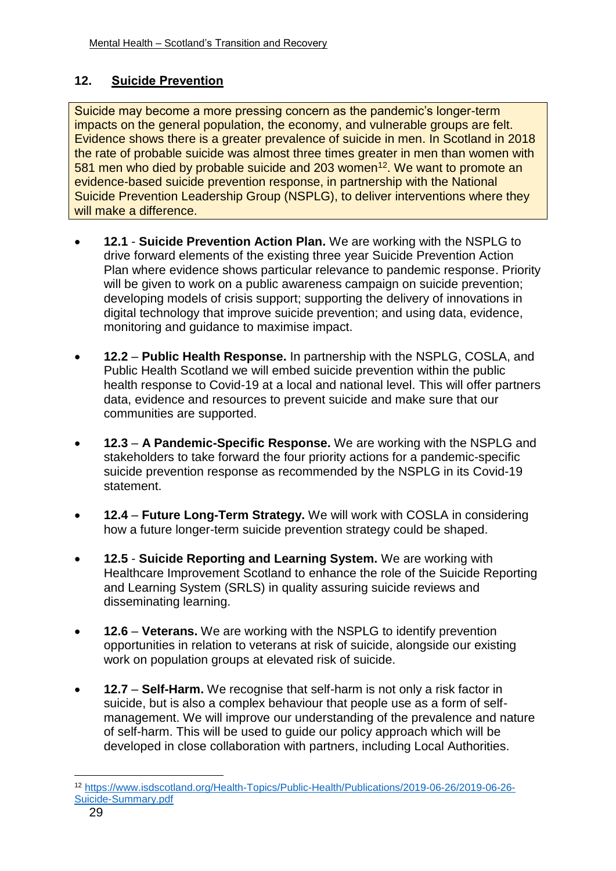# **12. Suicide Prevention**

Suicide may become a more pressing concern as the pandemic's longer-term impacts on the general population, the economy, and vulnerable groups are felt. Evidence shows there is a greater prevalence of suicide in men. In Scotland in 2018 the rate of probable suicide was almost three times greater in men than women with 581 men who died by probable suicide and 203 women<sup>12</sup>. We want to promote an evidence-based suicide prevention response, in partnership with the National Suicide Prevention Leadership Group (NSPLG), to deliver interventions where they will make a difference.

- **12.1 Suicide Prevention Action Plan.** We are working with the NSPLG to drive forward elements of the existing three year Suicide Prevention Action Plan where evidence shows particular relevance to pandemic response. Priority will be given to work on a public awareness campaign on suicide prevention; developing models of crisis support; supporting the delivery of innovations in digital technology that improve suicide prevention; and using data, evidence, monitoring and guidance to maximise impact.
- **12.2 Public Health Response.** In partnership with the NSPLG, COSLA, and Public Health Scotland we will embed suicide prevention within the public health response to Covid-19 at a local and national level. This will offer partners data, evidence and resources to prevent suicide and make sure that our communities are supported.
- **12.3 A Pandemic-Specific Response.** We are working with the NSPLG and stakeholders to take forward the four priority actions for a pandemic-specific suicide prevention response as recommended by the NSPLG in its Covid-19 statement.
- **12.4 Future Long-Term Strategy.** We will work with COSLA in considering how a future longer-term suicide prevention strategy could be shaped.
- **12.5 Suicide Reporting and Learning System.** We are working with Healthcare Improvement Scotland to enhance the role of the Suicide Reporting and Learning System (SRLS) in quality assuring suicide reviews and disseminating learning.
- **12.6 Veterans.** We are working with the NSPLG to identify prevention opportunities in relation to veterans at risk of suicide, alongside our existing work on population groups at elevated risk of suicide.
- **12.7 Self-Harm.** We recognise that self-harm is not only a risk factor in suicide, but is also a complex behaviour that people use as a form of selfmanagement. We will improve our understanding of the prevalence and nature of self-harm. This will be used to guide our policy approach which will be developed in close collaboration with partners, including Local Authorities.

1

<sup>12</sup> [https://www.isdscotland.org/Health-Topics/Public-Health/Publications/2019-06-26/2019-06-26-](https://www.isdscotland.org/Health-Topics/Public-Health/Publications/2019-06-26/2019-06-26-Suicide-Summary.pdf) [Suicide-Summary.pdf](https://www.isdscotland.org/Health-Topics/Public-Health/Publications/2019-06-26/2019-06-26-Suicide-Summary.pdf)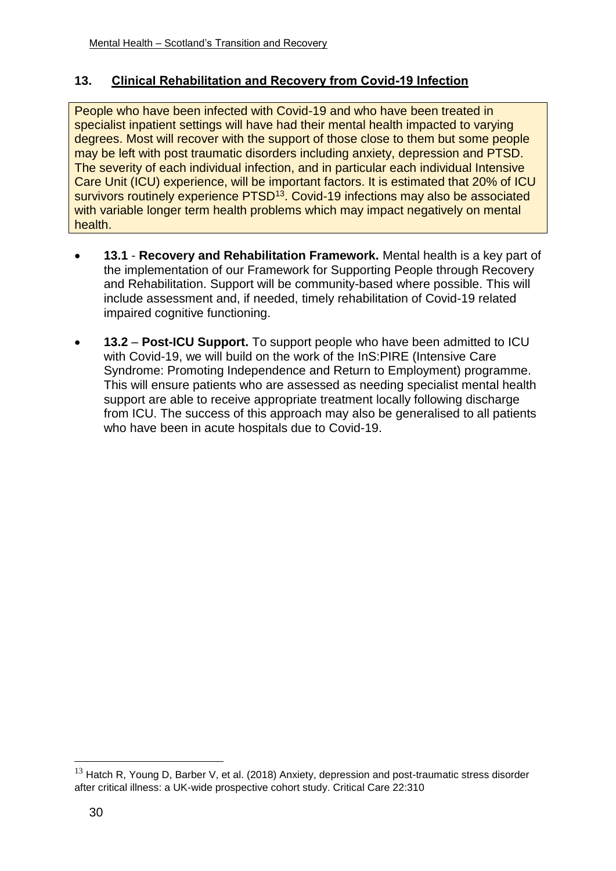# **13. Clinical Rehabilitation and Recovery from Covid-19 Infection**

People who have been infected with Covid-19 and who have been treated in specialist inpatient settings will have had their mental health impacted to varying degrees. Most will recover with the support of those close to them but some people may be left with post traumatic disorders including anxiety, depression and PTSD. The severity of each individual infection, and in particular each individual Intensive Care Unit (ICU) experience, will be important factors. It is estimated that 20% of ICU survivors routinely experience PTSD<sup>13</sup>. Covid-19 infections may also be associated with variable longer term health problems which may impact negatively on mental health.

- **13.1 Recovery and Rehabilitation Framework.** Mental health is a key part of the implementation of our Framework for Supporting People through Recovery and Rehabilitation. Support will be community-based where possible. This will include assessment and, if needed, timely rehabilitation of Covid-19 related impaired cognitive functioning.
- **13.2 Post-ICU Support.** To support people who have been admitted to ICU with Covid-19, we will build on the work of the InS:PIRE (Intensive Care Syndrome: Promoting Independence and Return to Employment) programme. This will ensure patients who are assessed as needing specialist mental health support are able to receive appropriate treatment locally following discharge from ICU. The success of this approach may also be generalised to all patients who have been in acute hospitals due to Covid-19.

1

 $13$  Hatch R, Young D, Barber V, et al. (2018) Anxiety, depression and post-traumatic stress disorder after critical illness: a UK-wide prospective cohort study. Critical Care 22:310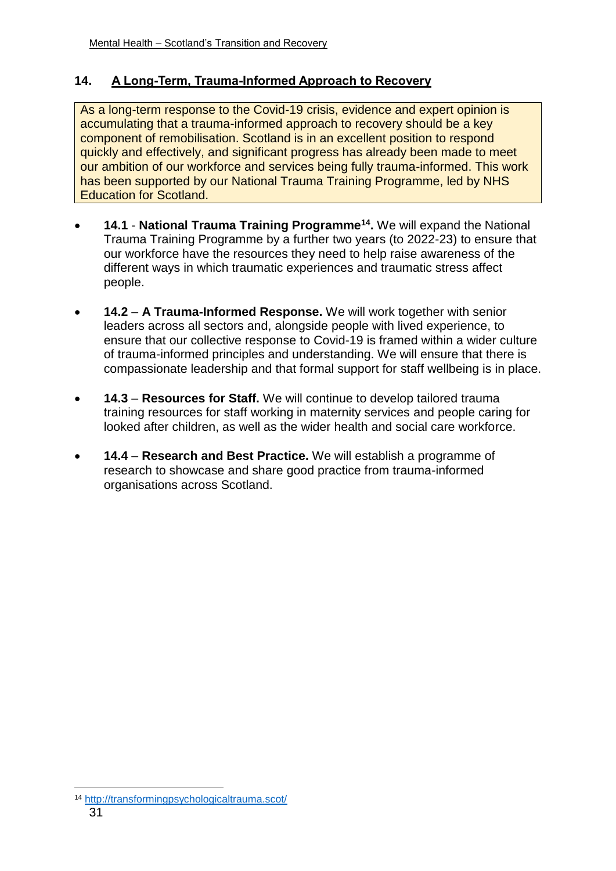# **14. A Long-Term, Trauma-Informed Approach to Recovery**

As a long-term response to the Covid-19 crisis, evidence and expert opinion is accumulating that a trauma-informed approach to recovery should be a key component of remobilisation. Scotland is in an excellent position to respond quickly and effectively, and significant progress has already been made to meet our ambition of our workforce and services being fully trauma-informed. This work has been supported by our National Trauma Training Programme, led by NHS Education for Scotland.

- **14.1 National Trauma Training Programme<sup>14</sup> .** We will expand the National Trauma Training Programme by a further two years (to 2022-23) to ensure that our workforce have the resources they need to help raise awareness of the different ways in which traumatic experiences and traumatic stress affect people.
- **14.2 A Trauma-Informed Response.** We will work together with senior leaders across all sectors and, alongside people with lived experience, to ensure that our collective response to Covid-19 is framed within a wider culture of trauma-informed principles and understanding. We will ensure that there is compassionate leadership and that formal support for staff wellbeing is in place.
- **14.3 Resources for Staff.** We will continue to develop tailored trauma training resources for staff working in maternity services and people caring for looked after children, as well as the wider health and social care workforce.
- **14.4 Research and Best Practice.** We will establish a programme of research to showcase and share good practice from trauma-informed organisations across Scotland.

<sup>31</sup> 1 <sup>14</sup> <http://transformingpsychologicaltrauma.scot/>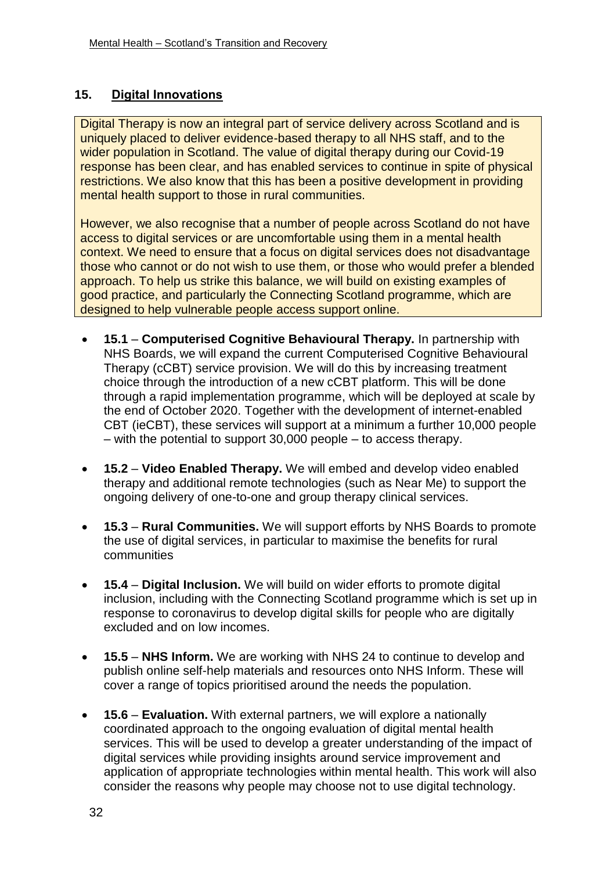# **15. Digital Innovations**

Digital Therapy is now an integral part of service delivery across Scotland and is uniquely placed to deliver evidence-based therapy to all NHS staff, and to the wider population in Scotland. The value of digital therapy during our Covid-19 response has been clear, and has enabled services to continue in spite of physical restrictions. We also know that this has been a positive development in providing mental health support to those in rural communities.

However, we also recognise that a number of people across Scotland do not have access to digital services or are uncomfortable using them in a mental health context. We need to ensure that a focus on digital services does not disadvantage those who cannot or do not wish to use them, or those who would prefer a blended approach. To help us strike this balance, we will build on existing examples of good practice, and particularly the Connecting Scotland programme, which are designed to help vulnerable people access support online.

- **15.1 Computerised Cognitive Behavioural Therapy.** In partnership with NHS Boards, we will expand the current Computerised Cognitive Behavioural Therapy (cCBT) service provision. We will do this by increasing treatment choice through the introduction of a new cCBT platform. This will be done through a rapid implementation programme, which will be deployed at scale by the end of October 2020. Together with the development of internet-enabled CBT (ieCBT), these services will support at a minimum a further 10,000 people – with the potential to support 30,000 people – to access therapy.
- **15.2 Video Enabled Therapy.** We will embed and develop video enabled therapy and additional remote technologies (such as Near Me) to support the ongoing delivery of one-to-one and group therapy clinical services.
- **15.3 Rural Communities.** We will support efforts by NHS Boards to promote the use of digital services, in particular to maximise the benefits for rural communities
- **15.4 Digital Inclusion.** We will build on wider efforts to promote digital inclusion, including with the Connecting Scotland programme which is set up in response to coronavirus to develop digital skills for people who are digitally excluded and on low incomes.
- **15.5 NHS Inform.** We are working with NHS 24 to continue to develop and publish online self-help materials and resources onto NHS Inform. These will cover a range of topics prioritised around the needs the population.
- **15.6 Evaluation.** With external partners, we will explore a nationally coordinated approach to the ongoing evaluation of digital mental health services. This will be used to develop a greater understanding of the impact of digital services while providing insights around service improvement and application of appropriate technologies within mental health. This work will also consider the reasons why people may choose not to use digital technology.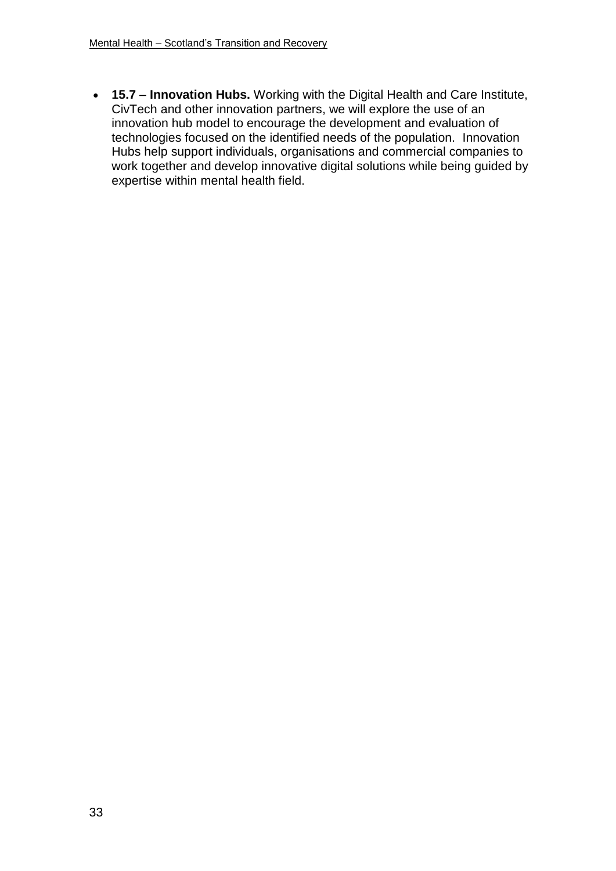**15.7** – **Innovation Hubs.** Working with the Digital Health and Care Institute, CivTech and other innovation partners, we will explore the use of an innovation hub model to encourage the development and evaluation of technologies focused on the identified needs of the population. Innovation Hubs help support individuals, organisations and commercial companies to work together and develop innovative digital solutions while being guided by expertise within mental health field.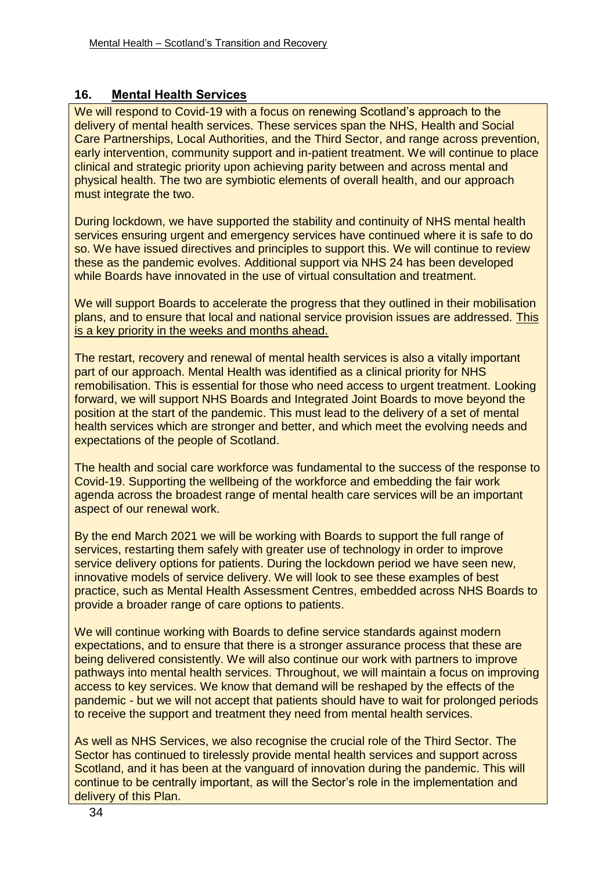# **16. Mental Health Services**

We will respond to Covid-19 with a focus on renewing Scotland's approach to the delivery of mental health services. These services span the NHS, Health and Social Care Partnerships, Local Authorities, and the Third Sector, and range across prevention, early intervention, community support and in-patient treatment. We will continue to place clinical and strategic priority upon achieving parity between and across mental and physical health. The two are symbiotic elements of overall health, and our approach must integrate the two.

During lockdown, we have supported the stability and continuity of NHS mental health services ensuring urgent and emergency services have continued where it is safe to do so. We have issued directives and principles to support this. We will continue to review these as the pandemic evolves. Additional support via NHS 24 has been developed while Boards have innovated in the use of virtual consultation and treatment.

We will support Boards to accelerate the progress that they outlined in their mobilisation plans, and to ensure that local and national service provision issues are addressed. This is a key priority in the weeks and months ahead.

The restart, recovery and renewal of mental health services is also a vitally important part of our approach. Mental Health was identified as a clinical priority for NHS remobilisation. This is essential for those who need access to urgent treatment. Looking forward, we will support NHS Boards and Integrated Joint Boards to move beyond the position at the start of the pandemic. This must lead to the delivery of a set of mental health services which are stronger and better, and which meet the evolving needs and expectations of the people of Scotland.

The health and social care workforce was fundamental to the success of the response to Covid-19. Supporting the wellbeing of the workforce and embedding the fair work agenda across the broadest range of mental health care services will be an important aspect of our renewal work.

By the end March 2021 we will be working with Boards to support the full range of services, restarting them safely with greater use of technology in order to improve service delivery options for patients. During the lockdown period we have seen new, innovative models of service delivery. We will look to see these examples of best practice, such as Mental Health Assessment Centres, embedded across NHS Boards to provide a broader range of care options to patients.

We will continue working with Boards to define service standards against modern expectations, and to ensure that there is a stronger assurance process that these are being delivered consistently. We will also continue our work with partners to improve pathways into mental health services. Throughout, we will maintain a focus on improving access to key services. We know that demand will be reshaped by the effects of the pandemic - but we will not accept that patients should have to wait for prolonged periods to receive the support and treatment they need from mental health services.

As well as NHS Services, we also recognise the crucial role of the Third Sector. The Sector has continued to tirelessly provide mental health services and support across Scotland, and it has been at the vanguard of innovation during the pandemic. This will continue to be centrally important, as will the Sector's role in the implementation and delivery of this Plan.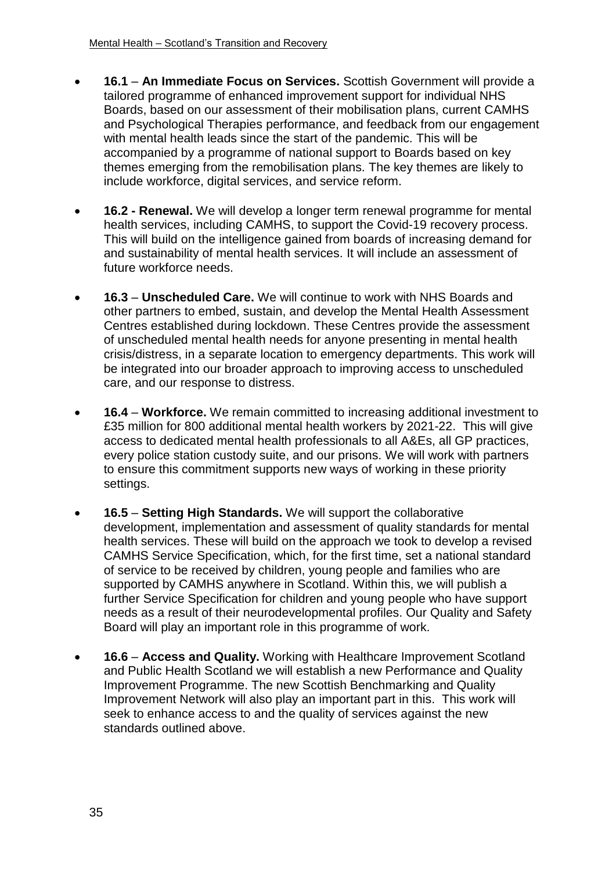- **16.1 An Immediate Focus on Services.** Scottish Government will provide a tailored programme of enhanced improvement support for individual NHS Boards, based on our assessment of their mobilisation plans, current CAMHS and Psychological Therapies performance, and feedback from our engagement with mental health leads since the start of the pandemic. This will be accompanied by a programme of national support to Boards based on key themes emerging from the remobilisation plans. The key themes are likely to include workforce, digital services, and service reform.
- **16.2 - Renewal.** We will develop a longer term renewal programme for mental health services, including CAMHS, to support the Covid-19 recovery process. This will build on the intelligence gained from boards of increasing demand for and sustainability of mental health services. It will include an assessment of future workforce needs.
- **16.3 Unscheduled Care.** We will continue to work with NHS Boards and other partners to embed, sustain, and develop the Mental Health Assessment Centres established during lockdown. These Centres provide the assessment of unscheduled mental health needs for anyone presenting in mental health crisis/distress, in a separate location to emergency departments. This work will be integrated into our broader approach to improving access to unscheduled care, and our response to distress.
- **16.4 Workforce.** We remain committed to increasing additional investment to £35 million for 800 additional mental health workers by 2021-22. This will give access to dedicated mental health professionals to all A&Es, all GP practices, every police station custody suite, and our prisons. We will work with partners to ensure this commitment supports new ways of working in these priority settings.
- **16.5 Setting High Standards.** We will support the collaborative development, implementation and assessment of quality standards for mental health services. These will build on the approach we took to develop a revised CAMHS Service Specification, which, for the first time, set a national standard of service to be received by children, young people and families who are supported by CAMHS anywhere in Scotland. Within this, we will publish a further Service Specification for children and young people who have support needs as a result of their neurodevelopmental profiles. Our Quality and Safety Board will play an important role in this programme of work.
- **16.6 Access and Quality.** Working with Healthcare Improvement Scotland and Public Health Scotland we will establish a new Performance and Quality Improvement Programme. The new Scottish Benchmarking and Quality Improvement Network will also play an important part in this. This work will seek to enhance access to and the quality of services against the new standards outlined above.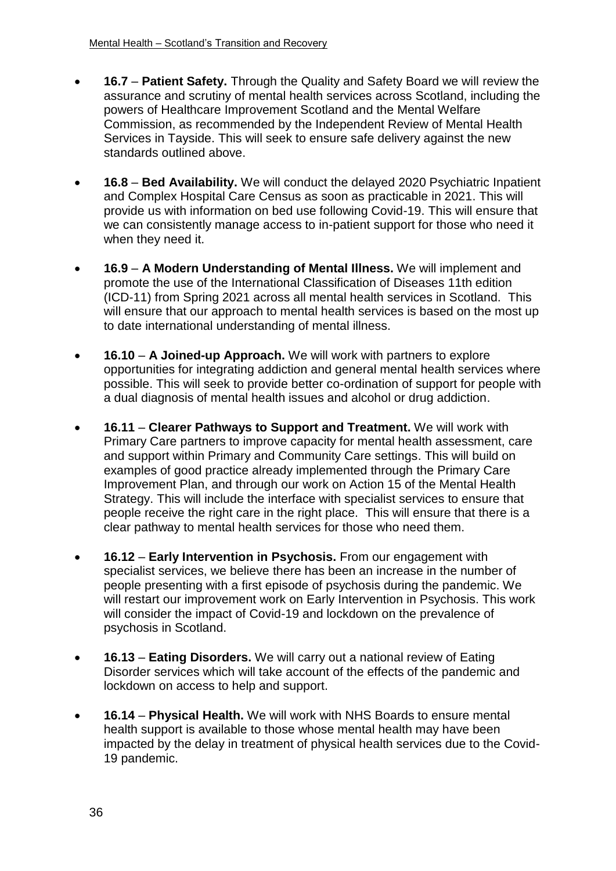- **16.7 Patient Safety.** Through the Quality and Safety Board we will review the assurance and scrutiny of mental health services across Scotland, including the powers of Healthcare Improvement Scotland and the Mental Welfare Commission, as recommended by the Independent Review of Mental Health Services in Tayside. This will seek to ensure safe delivery against the new standards outlined above.
- **16.8 Bed Availability.** We will conduct the delayed 2020 Psychiatric Inpatient and Complex Hospital Care Census as soon as practicable in 2021. This will provide us with information on bed use following Covid-19. This will ensure that we can consistently manage access to in-patient support for those who need it when they need it.
- **16.9 A Modern Understanding of Mental Illness.** We will implement and promote the use of the International Classification of Diseases 11th edition (ICD-11) from Spring 2021 across all mental health services in Scotland. This will ensure that our approach to mental health services is based on the most up to date international understanding of mental illness.
- **16.10 A Joined-up Approach.** We will work with partners to explore opportunities for integrating addiction and general mental health services where possible. This will seek to provide better co-ordination of support for people with a dual diagnosis of mental health issues and alcohol or drug addiction.
- **16.11 Clearer Pathways to Support and Treatment.** We will work with Primary Care partners to improve capacity for mental health assessment, care and support within Primary and Community Care settings. This will build on examples of good practice already implemented through the Primary Care Improvement Plan, and through our work on Action 15 of the Mental Health Strategy. This will include the interface with specialist services to ensure that people receive the right care in the right place. This will ensure that there is a clear pathway to mental health services for those who need them.
- **16.12 Early Intervention in Psychosis.** From our engagement with specialist services, we believe there has been an increase in the number of people presenting with a first episode of psychosis during the pandemic. We will restart our improvement work on Early Intervention in Psychosis. This work will consider the impact of Covid-19 and lockdown on the prevalence of psychosis in Scotland.
- **16.13 Eating Disorders.** We will carry out a national review of Eating Disorder services which will take account of the effects of the pandemic and lockdown on access to help and support.
- **16.14 Physical Health.** We will work with NHS Boards to ensure mental health support is available to those whose mental health may have been impacted by the delay in treatment of physical health services due to the Covid-19 pandemic.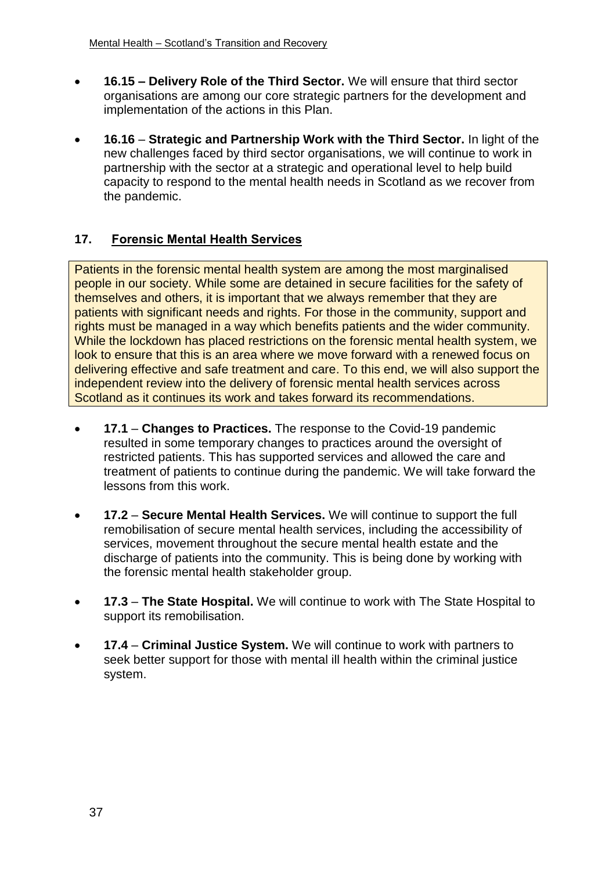- **16.15 – Delivery Role of the Third Sector.** We will ensure that third sector organisations are among our core strategic partners for the development and implementation of the actions in this Plan.
- **16.16 Strategic and Partnership Work with the Third Sector.** In light of the new challenges faced by third sector organisations, we will continue to work in partnership with the sector at a strategic and operational level to help build capacity to respond to the mental health needs in Scotland as we recover from the pandemic.

# **17. Forensic Mental Health Services**

Patients in the forensic mental health system are among the most marginalised people in our society. While some are detained in secure facilities for the safety of themselves and others, it is important that we always remember that they are patients with significant needs and rights. For those in the community, support and rights must be managed in a way which benefits patients and the wider community. While the lockdown has placed restrictions on the forensic mental health system, we look to ensure that this is an area where we move forward with a renewed focus on delivering effective and safe treatment and care. To this end, we will also support the independent review into the delivery of forensic mental health services across Scotland as it continues its work and takes forward its recommendations.

- **17.1 Changes to Practices.** The response to the Covid-19 pandemic resulted in some temporary changes to practices around the oversight of restricted patients. This has supported services and allowed the care and treatment of patients to continue during the pandemic. We will take forward the lessons from this work.
- **17.2 Secure Mental Health Services.** We will continue to support the full remobilisation of secure mental health services, including the accessibility of services, movement throughout the secure mental health estate and the discharge of patients into the community. This is being done by working with the forensic mental health stakeholder group.
- **17.3 The State Hospital.** We will continue to work with The State Hospital to support its remobilisation.
- **17.4 Criminal Justice System.** We will continue to work with partners to seek better support for those with mental ill health within the criminal justice system.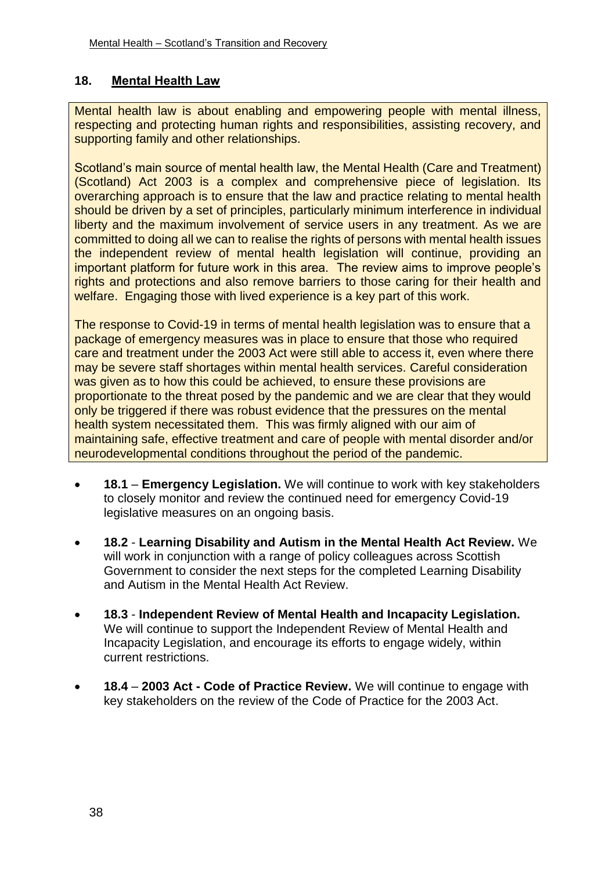#### **18. Mental Health Law**

Mental health law is about enabling and empowering people with mental illness, respecting and protecting human rights and responsibilities, assisting recovery, and supporting family and other relationships.

Scotland's main source of mental health law, the Mental Health (Care and Treatment) (Scotland) Act 2003 is a complex and comprehensive piece of legislation. Its overarching approach is to ensure that the law and practice relating to mental health should be driven by a set of principles, particularly minimum interference in individual liberty and the maximum involvement of service users in any treatment. As we are committed to doing all we can to realise the rights of persons with mental health issues the independent review of mental health legislation will continue, providing an important platform for future work in this area. The review aims to improve people's rights and protections and also remove barriers to those caring for their health and welfare. Engaging those with lived experience is a key part of this work.

The response to Covid-19 in terms of mental health legislation was to ensure that a package of emergency measures was in place to ensure that those who required care and treatment under the 2003 Act were still able to access it, even where there may be severe staff shortages within mental health services. Careful consideration was given as to how this could be achieved, to ensure these provisions are proportionate to the threat posed by the pandemic and we are clear that they would only be triggered if there was robust evidence that the pressures on the mental health system necessitated them. This was firmly aligned with our aim of maintaining safe, effective treatment and care of people with mental disorder and/or neurodevelopmental conditions throughout the period of the pandemic.

- **18.1 Emergency Legislation.** We will continue to work with key stakeholders to closely monitor and review the continued need for emergency Covid-19 legislative measures on an ongoing basis.
- **18.2 Learning Disability and Autism in the Mental Health Act Review.** We will work in conjunction with a range of policy colleagues across Scottish Government to consider the next steps for the completed Learning Disability and Autism in the Mental Health Act Review.
- **18.3 Independent Review of Mental Health and Incapacity Legislation.** We will continue to support the Independent Review of Mental Health and Incapacity Legislation, and encourage its efforts to engage widely, within current restrictions.
- **18.4 2003 Act - Code of Practice Review.** We will continue to engage with key stakeholders on the review of the Code of Practice for the 2003 Act.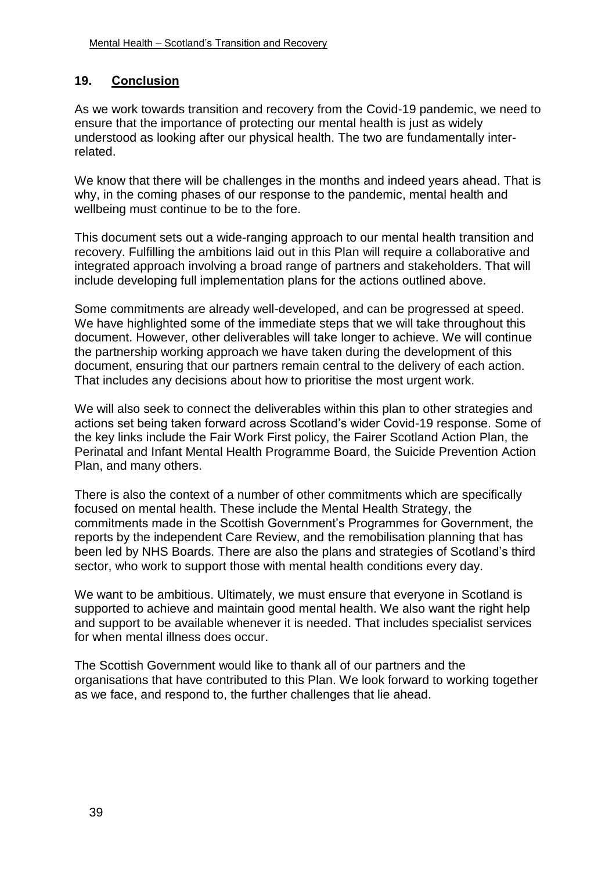# **19. Conclusion**

As we work towards transition and recovery from the Covid-19 pandemic, we need to ensure that the importance of protecting our mental health is just as widely understood as looking after our physical health. The two are fundamentally interrelated.

We know that there will be challenges in the months and indeed years ahead. That is why, in the coming phases of our response to the pandemic, mental health and wellbeing must continue to be to the fore.

This document sets out a wide-ranging approach to our mental health transition and recovery. Fulfilling the ambitions laid out in this Plan will require a collaborative and integrated approach involving a broad range of partners and stakeholders. That will include developing full implementation plans for the actions outlined above.

Some commitments are already well-developed, and can be progressed at speed. We have highlighted some of the immediate steps that we will take throughout this document. However, other deliverables will take longer to achieve. We will continue the partnership working approach we have taken during the development of this document, ensuring that our partners remain central to the delivery of each action. That includes any decisions about how to prioritise the most urgent work.

We will also seek to connect the deliverables within this plan to other strategies and actions set being taken forward across Scotland's wider Covid-19 response. Some of the key links include the Fair Work First policy, the Fairer Scotland Action Plan, the Perinatal and Infant Mental Health Programme Board, the Suicide Prevention Action Plan, and many others.

There is also the context of a number of other commitments which are specifically focused on mental health. These include the Mental Health Strategy, the commitments made in the Scottish Government's Programmes for Government, the reports by the independent Care Review, and the remobilisation planning that has been led by NHS Boards. There are also the plans and strategies of Scotland's third sector, who work to support those with mental health conditions every day.

We want to be ambitious. Ultimately, we must ensure that everyone in Scotland is supported to achieve and maintain good mental health. We also want the right help and support to be available whenever it is needed. That includes specialist services for when mental illness does occur.

The Scottish Government would like to thank all of our partners and the organisations that have contributed to this Plan. We look forward to working together as we face, and respond to, the further challenges that lie ahead.